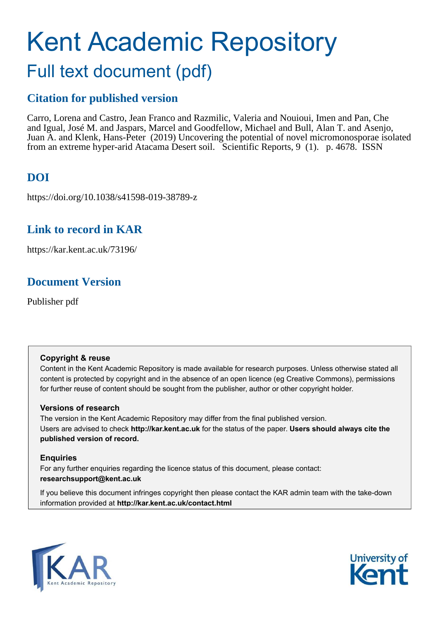# Kent Academic Repository

# Full text document (pdf)

### **Citation for published version**

Carro, Lorena and Castro, Jean Franco and Razmilic, Valeria and Nouioui, Imen and Pan, Che and Igual, José M. and Jaspars, Marcel and Goodfellow, Michael and Bull, Alan T. and Asenjo, Juan A. and Klenk, Hans-Peter (2019) Uncovering the potential of novel micromonosporae isolated from an extreme hyper-arid Atacama Desert soil. Scientific Reports, 9 (1). p. 4678. ISSN

## **DOI**

https://doi.org/10.1038/s41598-019-38789-z

### **Link to record in KAR**

https://kar.kent.ac.uk/73196/

## **Document Version**

Publisher pdf

### **Copyright & reuse**

Content in the Kent Academic Repository is made available for research purposes. Unless otherwise stated all content is protected by copyright and in the absence of an open licence (eg Creative Commons), permissions for further reuse of content should be sought from the publisher, author or other copyright holder.

### **Versions of research**

The version in the Kent Academic Repository may differ from the final published version. Users are advised to check **http://kar.kent.ac.uk** for the status of the paper. **Users should always cite the published version of record.**

### **Enquiries**

For any further enquiries regarding the licence status of this document, please contact: **researchsupport@kent.ac.uk**

If you believe this document infringes copyright then please contact the KAR admin team with the take-down information provided at **http://kar.kent.ac.uk/contact.html**



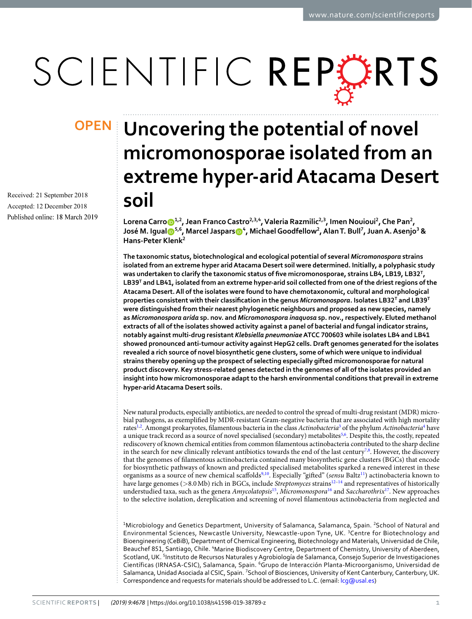# SCIENTIFIC REPERTS

Received: 21 September 2018 Accepted: 12 December 2018 Published online: 18 March 2019

# <span id="page-1-0"></span>**Uncovering the potential of novel OPENmicromonosporae isolated from an extreme hyper-arid Atacama Desert soil**

**Lorena Carroͷ,, Jean Franco Castro,,ͺ, Valeria Razmilic,, Imen Nouioui , Che Pan ,**   $\bm{S}$ **José M. Igual** $\bm{\mathbb{S}}^{5,6}$ **, Marcel Jaspars** $\bm{\mathbb{O}}^4$ **, Michael Goodfellow** $^2$ **, Alan T. Bull** $^7$ **, Juan A. Asenjo** $^3$  **& Hans-Peter Klenk**

**The taxonomic status, biotechnological and ecological potential of several** *Micromonospora* **strains isolated from an extreme hyper arid Atacama Desert soil were determined. Initially, a polyphasic study**  was undertaken to clarify the taxonomic status of five micromonosporae, strains LB4, LB19, LB32<sup>T</sup>, LB39<sup>T</sup> and LB41, isolated from an extreme hyper-arid soil collected from one of the driest regions of the **Atacama Desert. All of the isolates were found to have chemotaxonomic, cultural and morphological properties consistent with their classiication in the genus** *Micromonospora***. Isolates LB<sup>T</sup> and LB9<sup>T</sup> were distinguished from their nearest phylogenetic neighbours and proposed as new species, namely as** *Micromonospora arida* **sp. nov. and** *Micromonospora inaquosa* **sp. nov., respectively. Eluted methanol extracts of all of the isolates showed activity against a panel of bacterial and fungal indicator strains, notably against multi-drug resistant** *Klebsiella pneumoniae* **ATCC 700603 while isolates LB4 and LB41** showed pronounced anti-tumour activity against HepG2 cells. Draft genomes generated for the isolates **revealed a rich source of novel biosynthetic gene clusters, some of which were unique to individual strains thereby opening up the prospect of selecting especially gifted micromonosporae for natural product discovery. Key stress-related genes detected in the genomes of all of the isolates provided an insight into how micromonosporae adapt to the harsh environmental conditions that prevail in extreme hyper-arid Atacama Desert soils.**

New natural products, especially antibiotics, are needed to control the spread of multi-drug resistant (MDR) microbial pathogens, as exempliied by MDR-resistant Gram-negative bacteria that are associated with high mortality rates<sup>[1](#page-13-0)[,2](#page-13-1)</sup>. Amongst prokaryotes, filamentous bacteria in the class Actinobacteria<sup>[3](#page-13-2)</sup> of the phylum Actinobacteria<sup>[4](#page-13-3)</sup> have a unique track record as a source of novel specialised (secondary) metabolites<sup>[5](#page-13-4)[,6](#page-13-5)</sup>. Despite this, the costly, repeated rediscovery of known chemical entities from common ilamentous actinobacteria contributed to the sharp decline in the search for new clinically relevant antibiotics towards the end of the last century<sup>[7](#page-13-6)[,8](#page-13-7)</sup>. However, the discovery that the genomes of ilamentous actinobacteria contained many biosynthetic gene clusters (BGCs) that encode for biosynthetic pathways of known and predicted specialised metabolites sparked a renewed interest in these organisms as a source of new chemical scaffolds<sup>[9](#page-13-8),[10](#page-13-9)</sup>. Especially "gifted" (sensu Baltz<sup>[11](#page-13-10)</sup>) actinobacteria known to have large genomes ( $>8.0$  Mb) rich in BGCs, include Streptomyces strains<sup>[12–](#page-13-11)[14](#page-13-12)</sup> and representatives of historically understudied taxa, such as the genera Amycolatopsis<sup>[15](#page-13-13)</sup>, Micromonospora<sup>[16](#page-13-14)</sup> and Saccharothrix<sup>[17](#page-13-15)</sup>. New approaches to the selective isolation, dereplication and screening of novel ilamentous actinobacteria from neglected and

<sup>1</sup>Microbiology and Genetics Department, University of Salamanca, Salamanca, Spain. <sup>2</sup>School of Natural and Environmental Sciences, Newcastle University, Newcastle-upon Tyne, UK. <sup>3</sup>Centre for Biotechnology and Bioengineering (CeBiB), Department of Chemical Engineering, Biotechnology and Materials, Universidad de Chile, Beauchef 851, Santiago, Chile. *'Marine Biodiscovery Centre*, Department of Chemistry, University of Aberdeen, Scotland, UK. <sup>5</sup>Instituto de Recursos Naturales y Agrobiología de Salamanca, Consejo Superior de Investigaciones Científicas (IRNASA-CSIC), Salamanca, Spain. <sup>6</sup>Grupo de Interacción Planta-Microorganismo, Universidad de Salamanca, Unidad Asociada al CSIC, Spain. <sup>7</sup>School of Biosciences, University of Kent Canterbury, Canterbury, UK. Correspondence and requests for materials should be addressed to L.C. (email: [lcg@usal.es](mailto:lcg@usal.es))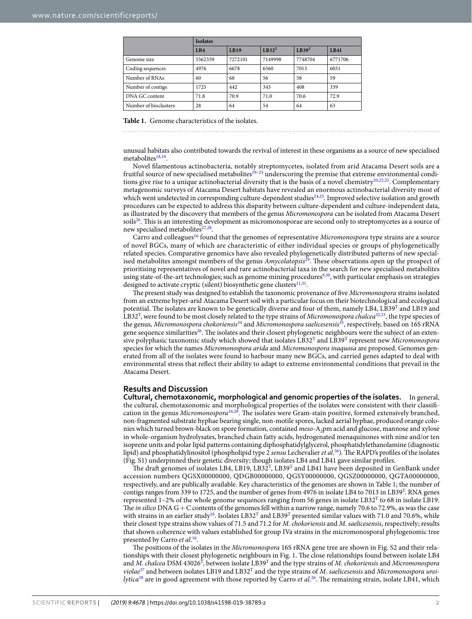|                       | <b>Isolates</b> |             |          |                   |             |  |  |  |  |  |
|-----------------------|-----------------|-------------|----------|-------------------|-------------|--|--|--|--|--|
|                       | LBA             | <b>LB19</b> | $LB32^T$ | LB39 <sup>T</sup> | <b>LB41</b> |  |  |  |  |  |
| Genome size           | 5562359         | 7272101     | 7149998  | 7748704           | 6771706     |  |  |  |  |  |
| Coding sequences      | 4976            | 6678        | 6560     | 7013              | 6031        |  |  |  |  |  |
| Number of RNAs        | 60              | 68          | 56       | 58                | 59          |  |  |  |  |  |
| Number of contigs     | 1725            | 442         | 345      | 408               | 339         |  |  |  |  |  |
| DNA GC content        | 71.8            | 70.9        | 71.0     | 70.6              | 72.9        |  |  |  |  |  |
| Number of bioclusters | 28              | 64          | 54       | 64                | 63          |  |  |  |  |  |

**Table 1.** Genome characteristics of the isolates.

unusual habitats also contributed towards the revival of interest in these organisms as a source of new specialised metabolites<sup>[18](#page-13-16),[19](#page-13-17)</sup>.

Novel ilamentous actinobacteria, notably streptomycetes, isolated from arid Atacama Desert soils are a fruitful source of new specialised metabolites<sup>19-[21](#page-13-18)</sup> underscoring the premise that extreme environmental condi-tions give rise to a unique actinobacterial diversity that is the basis of a novel chemistry<sup>[20](#page-13-19)[,22](#page-13-20)[,23](#page-13-21)</sup>. Complementary metagenomic surveys of Atacama Desert habitats have revealed an enormous actinobacterial diversity most of which went undetected in corresponding culture-dependent studies<sup>[24](#page-13-22)[,25](#page-13-23)</sup>. Improved selective isolation and growth procedures can be expected to address this disparity between culture-dependent and culture-independent data, as illustrated by the discovery that members of the genus Micromonospora can be isolated from Atacama Desert soils<sup>[26](#page-13-24)</sup>. This is an interesting development as micromonosporae are second only to streptomycetes as a source of new specialised metabolites<sup>[27](#page-13-25)[,28](#page-13-26)</sup>.

Carro and colleagues<sup>[16](#page-13-14)</sup> found that the genomes of representative *Micromonospora* type strains are a source of novel BGCs, many of which are characteristic of either individual species or groups of phylogenetically related species. Comparative genomics have also revealed phylogenetically distributed patterns of new special-ised metabolites amongst members of the genus Amycolatopsis<sup>[29](#page-13-27)</sup>. These observations open up the prospect of prioritising representatives of novel and rare actinobacterial taxa in the search for new specialised metabolites using state-of-the-art technologies; such as genome mining procedures<sup>[9,](#page-13-8)[30](#page-13-28)</sup>, with particular emphasis on strategies designed to activate cryptic (silent) biosynthetic gene clusters<sup>[11](#page-13-10),[31](#page-13-29)</sup>.

The present study was designed to establish the taxonomic provenance of five Micromonospora strains isolated from an extreme hyper-arid Atacama Desert soil with a particular focus on their biotechnological and ecological potential. The isolates are known to be genetically diverse and four of them, namely LB4, LB39<sup>T</sup> and LB19 and LB32<sup>T</sup>, were found to be most closely related to the type strains of Micromonospora chalcea<sup>[32,](#page-13-30)[33](#page-13-31)</sup>, the type species of the genus, Micromonospora chokoriensis<sup>[34](#page-13-32)</sup> and Micromonospora saelicesensis<sup>[35](#page-13-33)</sup>, respectively, based on 16S rRNA gene sequence similarities<sup>[26](#page-13-24)</sup>. The isolates and their closest phylogenetic neighbours were the subject of an extensive polyphasic taxonomic study which showed that isolates  $\rm LB32^{T}$  and  $\rm LB39^{T}$  represent new Micromonospora species for which the names Micromonospora arida and Micromonospora inaquosa are proposed. Genomes generated from all of the isolates were found to harbour many new BGCs, and carried genes adapted to deal with environmental stress that relect their ability to adapt to extreme environmental conditions that prevail in the Atacama Desert.

### **Results and Discussion**

<span id="page-2-0"></span>**Cultural, chemotaxonomic, morphological and genomic properties of the isolates.** In general, the cultural, chemotaxonomic and morphological properties of the isolates were consistent with their classii-cation in the genus Micromonospora<sup>[16](#page-13-14)[,28](#page-13-26)</sup>. The isolates were Gram-stain positive, formed extensively branched, non-fragmented substrate hyphae bearing single, non-motile spores, lacked aerial hyphae, produced orange colonies which turned brown-black on spore formation, contained meso-A<sub>2</sub>pm acid and glucose, mannose and xylose in whole-organism hydrolysates, branched chain fatty acids, hydrogenated menaquinones with nine and/or ten isoprene units and polar lipid patterns containing diphosphatidylglycerol, phosphatidylethanolamine (diagnostic lipid) and phosphatidylinositol (phospholipid type 2 sensu Lechevalier et al.<sup>[36](#page-13-34)</sup>). The RAPD's profiles of the isolates (Fig. S1) underpinned their genetic diversity; though isolates LB4 and LB41 gave similar profiles.

The draft genomes of isolates LB4, LB19, LB32<sup>T</sup>, LB39<sup>T</sup> and LB41 have been deposited in GenBank under accession numbers QGSX00000000, QDGB00000000, QGSY00000000, QGSZ00000000, QGTA00000000, respectively, and are publically available. Key characteristics of the genomes are shown in Table [1;](#page-1-0) the number of contigs ranges from 339 to 1725, and the number of genes from 4976 in isolate LB4 to 7013 in LB39<sup>T</sup>. RNA genes represented  $1-2\%$  of the whole genome sequences ranging from 56 genes in isolate LB32<sup>T</sup> to 68 in isolate LB19. The in silico DNA  $G + C$  contents of the genomes fell within a narrow range, namely 70.6 to 72.9%, as was the case with strains in an earlier study<sup>[16](#page-13-14)</sup>. Isolates  $LB32^T$  and  $LB39^T$  presented similar values with 71.0 and 70.6%, while their closest type strains show values of 71.5 and 71.2 for M. chokoriensis and M. saelicesensis, respectively; results that shown coherence with values established for group IVa strains in the micromonosporal phylogenomic tree presented by Carro et al.<sup>[16](#page-13-14)</sup>.

The positions of the isolates in the Micromonospora 16S rRNA gene tree are shown in Fig. S2 and their relationships with their closest phylogenetic neighbours in Fig. [1.](#page-2-0) he close relationships found between isolate LB4 and M. chalcea DSM 43026<sup>T</sup>, between isolate LB39<sup>T</sup> and the type strains of M. chokoriensis and Micromonospora violae<sup>[37](#page-13-35)</sup> and between isolates LB19 and LB32<sup>T</sup> and the type strains of *M. saelicesensis* and *Micromonospora urei*-lytica<sup>[38](#page-13-36)</sup> are in good agreement with those reported by Carro et al.<sup>[26](#page-13-24)</sup>. The remaining strain, isolate LB41, which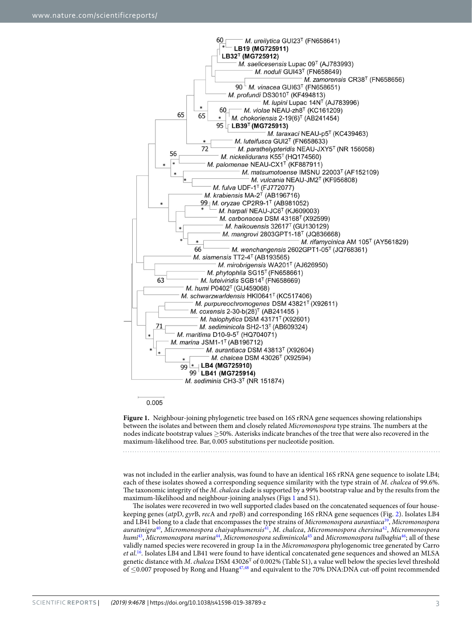

0.005

**Figure 1.** Neighbour-joining phylogenetic tree based on 16S rRNA gene sequences showing relationships between the isolates and between them and closely related Micromonospora type strains. The numbers at the nodes indicate bootstrap values ≥50%. Asterisks indicate branches of the tree that were also recovered in the maximum-likelihood tree. Bar, 0.005 substitutions per nucleotide position.

<span id="page-3-0"></span>was not included in the earlier analysis, was found to have an identical 16S rRNA gene sequence to isolate LB4; each of these isolates showed a corresponding sequence similarity with the type strain of M. chalcea of 99.6%. The taxonomic integrity of the M. chalcea clade is supported by a 99% bootstrap value and by the results from the maximum-likelihood and neighbour-joining analyses (Figs [1](#page-2-0) and S1).

The isolates were recovered in two well supported clades based on the concatenated sequences of four housekeeping genes (atpD, gyrB, recA and rpoB) and corresponding 16S rRNA gene sequences (Fig. [2](#page-3-0)). Isolates LB4 and LB41 belong to a clade that encompasses the type strains of Micromonospora aurantiaca<sup>[39](#page-13-37)</sup>, Micromonospora auratinigra<sup>[40](#page-13-38)</sup>, Micromonospora chaiyaphumensis<sup>[41](#page-14-0)</sup>, M. chalcea, Micromonospora chersina<sup>[42](#page-14-1)</sup>, Micromonospora humi<sup>[43](#page-14-2)</sup>, Micromonospora marina<sup>[44](#page-14-3)</sup>, Micromonospora sediminicola<sup>[45](#page-14-4)</sup> and Micromonospora tulbaghia<sup>[46](#page-14-5)</sup>; all of these validly named species were recovered in group 1a in the Micromonospora phylogenomic tree generated by Carro et al.<sup>[16](#page-13-14)</sup>. Isolates LB4 and LB41 were found to have identical concatenated gene sequences and showed an MLSA genetic distance with M. chalcea DSM 43026<sup>T</sup> of 0.002% (Table S1), a value well below the species level threshold of ≤0.007 proposed by Rong and Huang[47](#page-14-6),[48](#page-14-7) and equivalent to the 70% DNA:DNA cut-of point recommended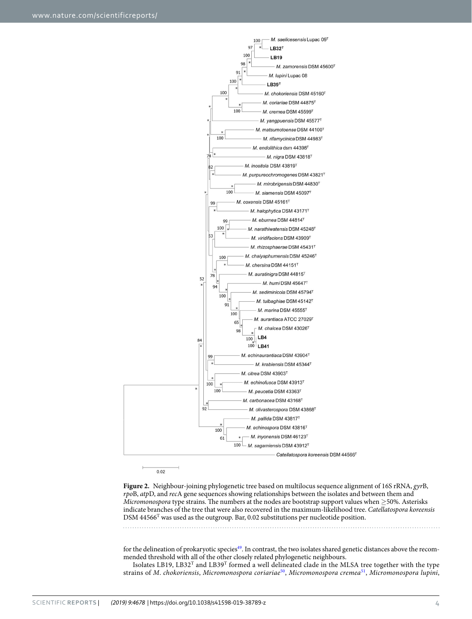

 $0.02$ 

Figure 2. Neighbour-joining phylogenetic tree based on multilocus sequence alignment of 16S rRNA, gyrB, rpoB, atpD, and recA gene sequences showing relationships between the isolates and between them and *Micromonospora* type strains. The numbers at the nodes are bootstrap support values when  $\geq$ 50%. Asterisks indicate branches of the tree that were also recovered in the maximum-likelihood tree. Catellatospora koreensis DSM 44566<sup>T</sup> was used as the outgroup. Bar, 0.02 substitutions per nucleotide position.

for the delineation of prokaryotic species<sup>[49](#page-14-8)</sup>. In contrast, the two isolates shared genetic distances above the recommended threshold with all of the other closely related phylogenetic neighbours.

Isolates LB19, LB32<sup>T</sup> and LB39<sup>T</sup> formed a well delineated clade in the MLSA tree together with the type strains of M. chokoriensis, Micromonospora coriariae<sup>[50](#page-14-9)</sup>, Micromonospora cremea<sup>[51](#page-14-10)</sup>, Micromonospora lupini,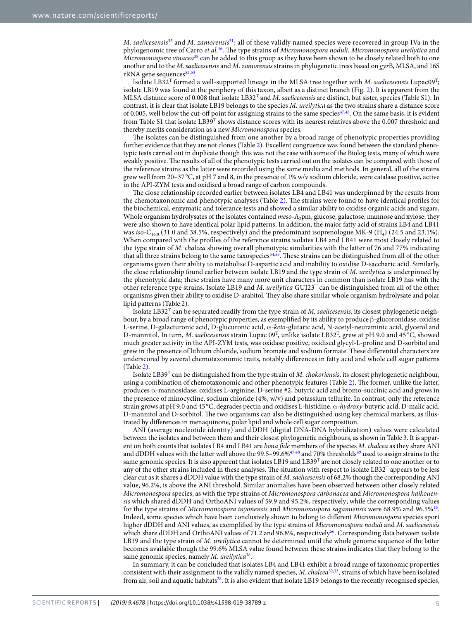M. saelicesensis<sup>[35](#page-13-33)</sup> and M. zamorensis<sup>[51](#page-14-10)</sup>; all of these validly named species were recovered in group IVa in the phylogenomic tree of Carro *et al.<sup>[16](#page-13-14)</sup>*. The type strains of *Micromonospora noduli, Micromonospora ureilytica* and Micromonospora vinacea<sup>[38](#page-13-36)</sup> can be added to this group as they have been shown to be closely related both to one another and to the M. saelicesensis and M. zamorensis strains in phylogenetic tress based on gyrB, MLSA, and 16S rRNA gene sequences<sup>[52](#page-14-11),[53](#page-14-12)</sup>.

Isolate LB32<sup>T</sup> formed a well-supported lineage in the MLSA tree together with M. saelicesensis Lupac09<sup>T</sup>; isolate LB19 was found at the periphery of this taxon, albeit as a distinct branch (Fig. [2\)](#page-3-0). It is apparent from the MLSA distance score of 0.008 that isolate  $LB32^T$  and M. saelicesensis are distinct, but sister, species (Table S1). In contrast, it is clear that isolate LB19 belongs to the species M. ureilytica as the two strains share a distance score of 0.005, well below the cut-off point for assigning strains to the same species $47,48$  $47,48$  $47,48$ . On the same basis, it is evident from Table S1 that isolate LB39<sup>T</sup> shows distance scores with its nearest relatives above the 0.007 threshold and thereby merits consideration as a new Micromonospora species.

The isolates can be distinguished from one another by a broad range of phenotypic properties providing further evidence that they are not clones (Table 2). Excellent congruence was found between the standard phenotypic tests carried out in duplicate though this was not the case with some of the Biolog tests, many of which were weakly positive. he results of all of the phenotypic tests carried out on the isolates can be compared with those of the reference strains as the latter were recorded using the same media and methods. In general, all of the strains grew well from 20–37 °C, at pH 7 and 8, in the presence of 1% w/v sodium chloride, were catalase positive, active in the API-ZYM tests and oxidised a broad range of carbon compounds.

The close relationship recorded earlier between isolates LB4 and LB41 was underpinned by the results from the chemotaxonomic and phenotypic analyses (Table 2). The strains were found to have identical profiles for the biochemical, enzymatic and tolerance tests and showed a similar ability to oxidise organic acids and sugars. Whole organism hydrolysates of the isolates contained *meso-A<sub>2</sub>pm*, glucose, galactose, mannose and xylose; they were also shown to have identical polar lipid patterns. In addition, the major fatty acid of strains LB4 and LB41 was iso-C<sub>16:0</sub> (31.0 and 38.5%, respectively) and the predominant isoprenologue MK-9 (H<sub>4</sub>) (24.5 and 23.1%). When compared with the profiles of the reference strains isolates LB4 and LB41 were most closely related to the type strain of M. chalcea showing overall phenotypic similarities with the latter of 76 and 77% indicating that all three strains belong to the same taxospecies<sup>[54](#page-14-13)[,55](#page-14-14)</sup>. These strains can be distinguished from all of the other organisms given their ability to metabolise D-aspartic acid and inability to oxidise D-saccharic acid. Similarly, the close relationship found earlier between isolate LB19 and the type strain of M. ureilytica is underpinned by the phenotypic data; these strains have many more unit characters in common than isolate LB19 has with the other reference type strains. Isolate LB19 and M. ureilytica GUI23<sup>T</sup> can be distinguished from all of the other organisms given their ability to oxidise D-arabitol. hey also share similar whole organism hydrolysate and polar lipid patterns (Table 2).

Isolate LB32<sup>T</sup> can be separated readily from the type strain of *M. saelicesensis*, its closest phylogenetic neighbour, by a broad range of phenotypic properties, as exempliied by its ability to produce β-glucoronidase, oxidise L-serine, D-galacturonic acid, D-glucuronic acid, α-keto-glutaric acid, N-acetyl-neuraminic acid, glycerol and D-mannitol. In turn, *M. saelicesensis* strain Lupac 09<sup>T</sup>, unlike isolate LB32<sup>T</sup>, grew at pH 9.0 and 45 °C, showed much greater activity in the API-ZYM tests, was oxidase positive, oxidised glycyl-L-proline and D-sorbitol and grew in the presence of lithium chloride, sodium bromate and sodium formate. These differential characters are underscored by several chemotaxonomic traits, notably diferences in fatty acid and whole cell sugar patterns (Table 2).

Isolate LB39<sup>T</sup> can be distinguished from the type strain of M. chokoriensis, its closest phylogenetic neighbour, using a combination of chemotaxonomic and other phenotypic features (Table 2). The former, unlike the latter, produces α-mannosidase, oxidises L-arginine, D-serine #2, butyric acid and bromo-succinic acid and grows in the presence of minocycline, sodium chloride (4%, w/v) and potassium tellurite. In contrast, only the reference strain grows at pH 9.0 and 45 °C, degrades pectin and oxidises L-histidine, α-hydroxy-butyric acid, D-malic acid, D-mannitol and D-sorbitol. he two organisms can also be distinguished using key chemical markers, as illustrated by diferences in menaquinone, polar lipid and whole cell sugar composition.

ANI (average nucleotide identity) and dDDH (digital DNA-DNA hybridization) values were calculated between the isolates and between them and their closest phylogenetic neighbours, as shown in Table [3](#page-7-0). It is apparent on both counts that isolates LB4 and LB41 are bona fide members of the species M. chalcea as they share ANI and dDDH values with the latter well above the 99.5-99.6%<sup>[47,](#page-14-6)[48](#page-14-7)</sup> and 70% thresholds<sup>[49](#page-14-8)</sup> used to assign strains to the same genomic species. It is also apparent that isolates LB19 and LB39<sup>T</sup> are not closely related to one another or to any of the other strains included in these analyses. The situation with respect to isolate  $LB32<sup>T</sup>$  appears to be less clear cut as it shares a dDDH value with the type strain of M. saelicesensis of 68.2% though the corresponding ANI value, 96.2%, is above the ANI threshold. Similar anomalies have been observed between other closely related Micromonospora species, as with the type strains of Micromonospora carbonacea and Micromonospora haikouensis which shared dDDH and OrthoANI values of 59.9 and 95.2%, respectively; while the corresponding values for the type strains of Micromonospora inyonensis and Micromonospora sagamiensis were 68.9% and 96.5%<sup>[16](#page-13-14)</sup>. Indeed, some species which have been conclusively shown to belong to diferent Micromonospora species sport higher dDDH and ANI values, as exemplified by the type strains of Micromonospora noduli and M. saelicesensis which share dDDH and OrthoANI values of 71.2 and 96.8%, respectively<sup>[56](#page-14-15)</sup>. Corresponding data between isolate LB19 and the type strain of M. ureilytica cannot be determined until the whole genome sequence of the latter becomes available though the 99.6% MLSA value found between these strains indicates that they belong to the same genomic species, namely M. ureilytica<sup>[38](#page-13-36)</sup>.

In summary, it can be concluded that isolates LB4 and LB41 exhibit a broad range of taxonomic properties consistent with their assignment to the validly named species, M. chalcea<sup>[32](#page-13-30)[,33](#page-13-31)</sup>, strains of which have been isolated from air, soil and aquatic habitats<sup>[28](#page-13-26)</sup>. It is also evident that isolate LB19 belongs to the recently recognised species,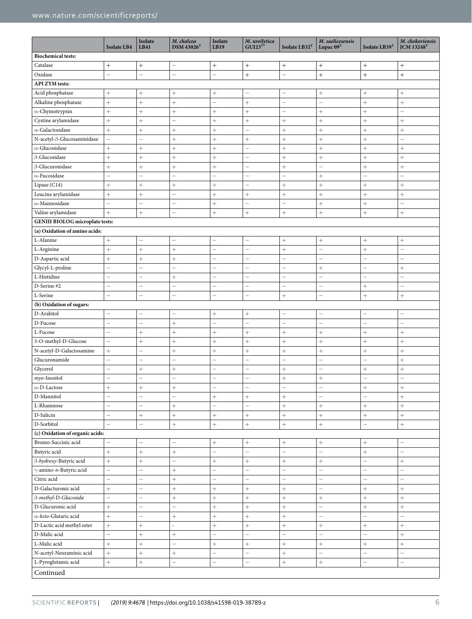|                                        | <b>Isolate LB4</b>       | Isolate<br>LB41          | M. chalcea<br>$DSM$ 43026 <sup>T</sup> | Isolate<br>LB19          | <i>M.</i> ureilytica<br>$GUI23^{T*}$ | Isolate LB32 <sup>T</sup> | M. saelicesensis<br>Lupac $09T$ | Isolate LB39T            | M. chokoriensis<br><b>JCM 13248T</b> |
|----------------------------------------|--------------------------|--------------------------|----------------------------------------|--------------------------|--------------------------------------|---------------------------|---------------------------------|--------------------------|--------------------------------------|
| <b>Biochemical tests:</b>              |                          |                          |                                        |                          |                                      |                           |                                 |                          |                                      |
| Catalase                               | $^{+}$                   | $^{+}$                   | $\qquad \qquad -$                      | $+$                      | $\! +$                               | $^{+}$                    |                                 | $^{+}$                   | $^{+}$                               |
| Oxidase                                | -                        | -                        | -                                      | $\overline{\phantom{0}}$ | $\! + \!$                            | -                         |                                 | $^{+}$                   | $^{+}$                               |
| <b>API ZYM</b> tests:                  |                          |                          |                                        |                          |                                      |                           |                                 |                          |                                      |
| Acid phosphatase                       | $^{+}$                   | $^{+}$                   | $\! + \!\!\!\!$                        | $^{+}$                   | $\overline{\phantom{0}}$             | $\equiv$                  | $\! + \!\!\!\!$                 | $^{+}$                   | $^{+}$                               |
| Alkaline phosphatase                   | $^{+}$                   | $^{+}$                   | $^{+}$                                 | $\overline{\phantom{0}}$ | $^{+}$                               | $\overline{\phantom{0}}$  | $\overline{\phantom{0}}$        | $^{+}$                   | $^{+}$                               |
| $\alpha$ -Chymotrypsin                 | $^{+}$                   | $^{+}$                   | $^{+}$                                 | $^{+}$                   | $^{+}$                               | $\overline{\phantom{0}}$  | $^{+}$                          | $^{+}$                   | ÷                                    |
| Cystine arylamidase                    | $\ddot{}$                | $^{+}$                   | $\overline{\phantom{0}}$               | $^{+}$                   | $^{+}$                               | $^{+}$                    | $^{+}$                          | $\ddot{}$                | $^{+}$                               |
| $\alpha$ -Galactosidase                | $^{+}$                   | $\! + \!$                | $\! + \!\!\!\!$                        | $^{+}$                   | $\overline{\phantom{0}}$             | $^{+}$                    | $^{+}$                          |                          | $^{+}$                               |
| N-acetyl-β-Glucosaminidase             | $\equiv$                 | $\overline{\phantom{0}}$ | $^{+}$                                 | $^{+}$                   | $\! +$                               | $^{+}$                    | $^{+}$                          | $^{+}$                   | $\overline{\phantom{0}}$             |
| $\alpha$ -Glucosidase                  | $^{+}$                   |                          | $\! + \!\!\!\!$                        | $^{+}$                   | -                                    | $^{+}$                    | $^{+}$                          |                          | $\! + \!\!\!\!$                      |
| <b>B-Glucosidase</b>                   | $^{+}$                   | $^{+}$                   | $^{+}$                                 | $^{+}$                   | -                                    | $^{+}$                    | $^{+}$                          | $^{+}$                   | $^{+}$                               |
| B-Glucuronidase                        | $^{+}$                   |                          | $^{+}$                                 | $^{+}$                   | -                                    | $^{+}$                    | $\overline{\phantom{0}}$        | $^{+}$                   | $^{+}$                               |
| $\alpha$ -Fucosidase                   | $\overline{\phantom{0}}$ | $\overline{\phantom{0}}$ | $\overline{\phantom{0}}$               | $\overline{\phantom{0}}$ | $\overline{\phantom{0}}$             | $\equiv$                  | $^{+}$                          | $\overline{\phantom{0}}$ | $\overline{\phantom{0}}$             |
| Lipase (C14)                           | $^{+}$                   | $^{+}$                   | $^{+}$                                 | $^{+}$                   | $\overline{\phantom{0}}$             | $^{+}$                    | $^{+}$                          | $^{+}$                   | $^{+}$                               |
| Leucine arylamidase                    | $^{+}$                   | $^{+}$                   | $\overline{\phantom{0}}$               |                          | $^{+}$                               | $^{+}$                    | $^{+}$                          | $^{+}$                   | $^{+}$                               |
| $\alpha$ -Mannosidase                  | $\overline{\phantom{0}}$ | $\overline{\phantom{0}}$ | $\overline{\phantom{0}}$               | $\! + \!\!\!\!$          | $\overline{\phantom{0}}$             | $\overline{\phantom{0}}$  | $\! + \!\!\!\!$                 |                          | ÷                                    |
| Valine arylamidase                     | $^{+}$                   | $\! + \!$                | $\equiv$                               |                          | $\! +$                               | $^{+}$                    |                                 | $^{+}$                   | $^{+}$                               |
| <b>GENIII BIOLOG microplate tests:</b> |                          |                          |                                        |                          |                                      |                           |                                 |                          |                                      |
| (a) Oxidation of amino acids:          |                          |                          |                                        |                          |                                      |                           |                                 |                          |                                      |
| L-Alanine                              | $^{+}$                   | -                        | -                                      | <sup>-</sup>             | $\overline{\phantom{0}}$             | $^{+}$                    | $\! + \!\!\!\!$                 | $^{+}$                   | $^{+}$                               |
| L-Arginine                             | $^{+}$                   | $^{+}$                   | $^{+}$                                 | $\overline{\phantom{0}}$ | $\overline{\phantom{0}}$             | $^{+}$                    | $\overline{\phantom{0}}$        | $^{+}$                   | $\overline{\phantom{0}}$             |
| D-Aspartic acid                        | $^{+}$                   | $^{+}$                   | $^{+}$                                 | -                        | $\overline{\phantom{0}}$             | $\overline{\phantom{0}}$  | ÷                               | $\overline{\phantom{0}}$ | ÷                                    |
| Glycyl-L-proline                       | $\equiv$                 | $\overline{a}$           | $\equiv$                               | -                        | $\overline{\phantom{0}}$             | $\overline{\phantom{0}}$  | $^{+}$                          | $\overline{\phantom{0}}$ | $^{+}$                               |
|                                        |                          |                          |                                        |                          |                                      |                           |                                 |                          |                                      |
| L-Histidine                            | $\overline{\phantom{0}}$ | $\overline{\phantom{0}}$ | $^{+}$                                 | $\overline{\phantom{0}}$ | $\overline{\phantom{0}}$             | $\overline{\phantom{0}}$  | -                               | $\overline{\phantom{0}}$ | $\overline{\phantom{0}}$             |
| D-Serine #2                            | $\overline{\phantom{0}}$ | $\overline{\phantom{0}}$ | $\overline{\phantom{0}}$               | $\overline{\phantom{0}}$ | $\overline{\phantom{0}}$             | $\overline{\phantom{0}}$  | $\overline{\phantom{0}}$        | $^{+}$                   | $\overline{\phantom{0}}$             |
| L-Serine                               | $\overline{\phantom{0}}$ | $\overline{\phantom{0}}$ | $\overline{\phantom{0}}$               | $\overline{\phantom{0}}$ | $\overline{\phantom{0}}$             | $^{+}$                    | Ĭ.                              | $^{+}$                   | $^{+}$                               |
| (b) Oxidation of sugars:               |                          |                          |                                        |                          |                                      |                           |                                 |                          |                                      |
| D-Arabitol                             | $\overline{a}$           | $\overline{\phantom{0}}$ |                                        | $^{+}$                   | $^{+}$                               | $\overline{\phantom{0}}$  | L,                              |                          |                                      |
| D-Fucose                               | $\overline{\phantom{0}}$ | $\overline{\phantom{0}}$ | $^{+}$                                 | $\overline{\phantom{0}}$ | $\overline{\phantom{0}}$             | $\overline{\phantom{0}}$  | -                               | $\overline{\phantom{0}}$ | $\overline{\phantom{0}}$             |
| L-Fucose                               | $\overline{\phantom{0}}$ | $^{+}$                   | $^{+}$                                 | $^{+}$                   | $^{+}$                               | $^{+}$                    | $^{+}$                          | $^{+}$                   | $^{+}$                               |
| 3-O-methyl-D-Glucose                   | $\overline{\phantom{0}}$ | $^{+}$                   | $^{+}$                                 | $^{+}$                   | $^{+}$                               | $^{+}$                    |                                 | $^{+}$                   | $^{+}$                               |
| N-acetyl-D-Galactosamine               | $^{+}$                   | $\equiv$                 |                                        | $\! + \!\!\!\!$          | $^{+}$                               | $^{+}$                    | $\! + \!\!\!\!$                 | $^{+}$                   | $^{+}$                               |
| Glucuronamide                          | $\overline{\phantom{0}}$ | $\overline{\phantom{0}}$ | $\overline{\phantom{0}}$               | $\overline{\phantom{0}}$ | $\overline{\phantom{0}}$             | $\overline{\phantom{0}}$  | $\overline{\phantom{0}}$        | $\overline{\phantom{0}}$ | $^{+}$                               |
| Glycerol                               | $\overline{\phantom{0}}$ | $^{+}$                   | $\! + \!$                              | Ĭ.                       | $\overline{\phantom{0}}$             | $^{+}$                    | Ĭ.                              |                          | $^{+}$                               |
| $myo$ -Inositol                        | $\overline{\phantom{0}}$ | $\overline{\phantom{0}}$ | $\overline{\phantom{0}}$               | Ĭ.                       | $\overline{\phantom{0}}$             | $^{+}$                    | $^{+}$                          | $\equiv$                 | $\overline{\phantom{0}}$             |
| $\alpha$ -D-Lactose                    | $^{+}$                   | $^{+}$                   | $^{+}$                                 | L.                       | $\overline{\phantom{0}}$             | $\overline{\phantom{0}}$  | L.                              | $+$                      | $\ddot{}$                            |
| D-Mannitol                             | $\overline{\phantom{0}}$ | $\overline{\phantom{0}}$ | $\overline{\phantom{0}}$               | $\! + \!\!\!\!$          | $\! +$                               | $^{+}$                    | $\overline{\phantom{0}}$        | $\overline{\phantom{0}}$ | $^{+}$                               |
| L-Rhamnose                             | $\overline{\phantom{0}}$ | $\overline{\phantom{0}}$ | $^{+}$                                 | $\overline{\phantom{0}}$ | $\overline{\phantom{0}}$             | $^{+}$                    | $\boldsymbol{+}$                | $^{+}$                   | $^{+}$                               |
| D-Salicin                              | $\overline{\phantom{0}}$ | $\! + \!\!\!\!$          | $^{+}$                                 | $\! +$                   | $+$                                  | $^{+}$                    | $\boldsymbol{+}$                | $^{+}$                   |                                      |
| D-Sorbitol                             | $\equiv$                 | $\overline{\phantom{0}}$ | $^{+}$                                 | $+$                      | $\! + \!$                            | $^{+}$                    | $+$                             | $\overline{\phantom{0}}$ |                                      |
| (c) Oxidation of organic acids:        |                          |                          |                                        |                          |                                      |                           |                                 |                          |                                      |
| Bromo-Succinic acid                    |                          | $\overline{\phantom{0}}$ | $\overline{\phantom{0}}$               | $^{+}$                   | $\! + \!$                            | $^{+}$                    | $\! +$                          | $^{+}$                   | ÷                                    |
| Butyric acid                           | $^{+}$                   | $^{+}$                   | $\! + \!$                              | Ĭ.                       | $\overline{\phantom{0}}$             | $\overline{\phantom{0}}$  | $\overline{\phantom{0}}$        | $^{+}$                   | $\overline{\phantom{m}}$             |
| β-hydroxy-Butyric acid                 | $\ddot{}$                | $\ddot{}$                | $\overline{a}$                         | $^{+}$                   | $^{+}$                               | $^{+}$                    |                                 | $\overline{\phantom{0}}$ | $\ddot{}$                            |
| $\gamma$ -amino-n-Butyric acid         | $-$                      | $\overline{\phantom{0}}$ | $^{+}$                                 | $\equiv$                 | $\overline{\phantom{0}}$             | $\equiv$                  | $\equiv$                        | $\overline{\phantom{0}}$ | $\overline{\phantom{0}}$             |
| Citric acid                            | $\overline{\phantom{0}}$ | $\overline{\phantom{0}}$ | $^{+}$                                 | Ĭ.                       | $\overline{\phantom{0}}$             | $\overline{\phantom{0}}$  | $\overline{\phantom{0}}$        | $\overline{\phantom{0}}$ | $\overline{\phantom{m}}$             |
| D-Galacturonic acid                    | $^{+}$                   | $\overline{\phantom{0}}$ |                                        | $+$                      | $^{+}$                               | $\! + \!$                 | $\overline{\phantom{0}}$        | $^{+}$                   | $^{+}$                               |
| $\beta$ -methyl-D-Glucoside            | $\equiv$                 | $\overline{\phantom{0}}$ | $^{+}$                                 | $\! + \!\!\!\!$          | $^{+}$                               | $^{+}$                    | $+$                             | $^{+}$                   | $^{+}$                               |
| D-Glucuronic acid                      | $^{+}$                   | $\overline{\phantom{0}}$ | $\overline{\phantom{0}}$               | $+$                      | $\! + \!\!\!\!$                      | $^{+}$                    | $\overline{\phantom{0}}$        | $^{+}$                   |                                      |
| α-keto-Glutaric acid                   | $^{+}$                   | -                        | $\! + \!$                              | $^{+}$                   | $^{+}$                               | $^{+}$                    | -                               | $\overline{\phantom{0}}$ | $\qquad \qquad -$                    |
| D-Lactic acid methyl ester             | $^{+}$                   |                          | ä,                                     | $^{+}$                   | $^{+}$                               | $^{+}$                    |                                 |                          | $^{+}$                               |
| D-Malic acid                           | $\overline{\phantom{0}}$ | $^{+}$                   |                                        | $\overline{\phantom{0}}$ | $\overline{\phantom{0}}$             | $\overline{\phantom{0}}$  | -                               | $\qquad \qquad -$        | $^{+}$                               |
| L-Malic acid                           | $^{+}$                   | $^{+}$                   | $\overline{\phantom{0}}$               | $^{+}$                   | $\! + \!$                            | $^{+}$                    | $\! +$                          | $^{+}$                   | $+ \nonumber$                        |
| N-acetyl-Neuraminic acid               | $^{+}$                   | $^{+}$                   | $\! + \!$                              | $\overline{\phantom{0}}$ | $\overline{\phantom{0}}$             | $^{+}$                    | $\overline{\phantom{0}}$        | $\overline{\phantom{0}}$ | $\overline{\phantom{m}}$             |
| L-Pyroglutamic acid                    | $^{+}$                   | $\! + \!\!\!\!$          | $\qquad \qquad -$                      | $\overline{\phantom{0}}$ | $\qquad \qquad -$                    | $^{+}$                    | $\! +$                          | $\qquad \qquad -$        | $\qquad \qquad -$                    |
| Continued                              |                          |                          |                                        |                          |                                      |                           |                                 |                          |                                      |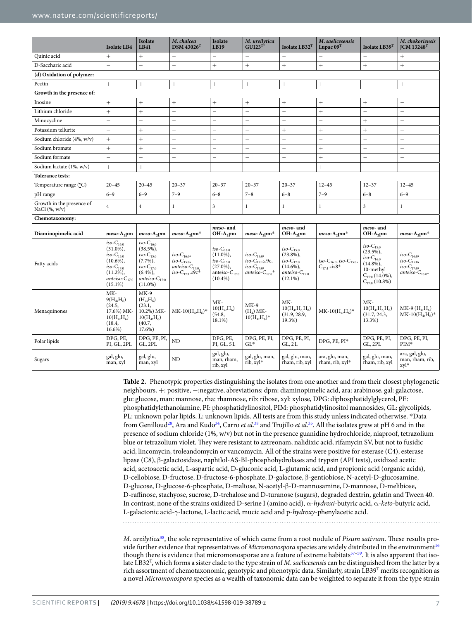<span id="page-7-0"></span>

|                                                  | <b>Isolate LB4</b>                                                                                                                     | Isolate<br><b>LB41</b>                                                                                                               | M. chalcea<br>$DSM$ 43026 <sup>T</sup>                                                            | Isolate<br><b>LB19</b>                                                                                     | M. ureilytica<br>$GUI23^{T*}$                                                                                   | Isolate LB32 <sup>T</sup>                                                                           | M. saelicesensis<br>Lupac $09T$                                     | Isolate LB39T                                                                                                              | M. chokoriensis<br>$ICM$ 13248 <sup>T</sup>                                         |
|--------------------------------------------------|----------------------------------------------------------------------------------------------------------------------------------------|--------------------------------------------------------------------------------------------------------------------------------------|---------------------------------------------------------------------------------------------------|------------------------------------------------------------------------------------------------------------|-----------------------------------------------------------------------------------------------------------------|-----------------------------------------------------------------------------------------------------|---------------------------------------------------------------------|----------------------------------------------------------------------------------------------------------------------------|-------------------------------------------------------------------------------------|
| Quinic acid                                      | $^{+}$                                                                                                                                 | $^{+}$                                                                                                                               | $\qquad \qquad -$                                                                                 |                                                                                                            | $\equiv$                                                                                                        | $\overline{\phantom{0}}$                                                                            |                                                                     | $\overline{\phantom{0}}$                                                                                                   | $^{+}$                                                                              |
| D-Saccharic acid                                 | $\overline{\phantom{0}}$                                                                                                               | $\overline{\phantom{0}}$                                                                                                             | $\equiv$                                                                                          | $\ddot{}$                                                                                                  | $^{+}$                                                                                                          | $\ddag$                                                                                             | $^{+}$                                                              | $+$                                                                                                                        | $\ddot{}$                                                                           |
| (d) Oxidation of polymer:                        |                                                                                                                                        |                                                                                                                                      |                                                                                                   |                                                                                                            |                                                                                                                 |                                                                                                     |                                                                     |                                                                                                                            |                                                                                     |
| Pectin                                           | $^{+}$                                                                                                                                 | $^{+}$                                                                                                                               | $^{+}$                                                                                            | $^{+}$                                                                                                     | $^{+}$                                                                                                          | $^{+}$                                                                                              | $^{+}$                                                              | $\overline{\phantom{0}}$                                                                                                   | $^{+}$                                                                              |
| Growth in the presence of:                       |                                                                                                                                        |                                                                                                                                      |                                                                                                   |                                                                                                            |                                                                                                                 |                                                                                                     |                                                                     |                                                                                                                            |                                                                                     |
| Inosine                                          | $^{+}$                                                                                                                                 | $^{+}$                                                                                                                               | $^{+}$                                                                                            | $^{+}$                                                                                                     | $^{+}$                                                                                                          | $^{+}$                                                                                              | $^{+}$                                                              | $^{+}$                                                                                                                     | $\overline{\phantom{0}}$                                                            |
| Lithium chloride                                 | $^{+}$                                                                                                                                 | $^{+}$                                                                                                                               | $\overline{\phantom{0}}$                                                                          | L.                                                                                                         | $\qquad \qquad -$                                                                                               | $\overline{\phantom{0}}$                                                                            | $^{+}$                                                              | $\qquad \qquad -$                                                                                                          | $\qquad \qquad -$                                                                   |
| Minocycline                                      | $\overline{\phantom{0}}$                                                                                                               | $\qquad \qquad -$                                                                                                                    | $\overline{\phantom{0}}$                                                                          | $\overline{\phantom{0}}$                                                                                   | $\overline{\phantom{0}}$                                                                                        | $\overline{\phantom{0}}$                                                                            | $\overline{\phantom{0}}$                                            | $^{+}$                                                                                                                     | $\qquad \qquad -$                                                                   |
| Potassium tellurite                              | $\equiv$                                                                                                                               | $^{+}$                                                                                                                               | $\overline{\phantom{0}}$                                                                          | L.                                                                                                         | $\overline{\phantom{0}}$                                                                                        | $^{+}$                                                                                              | $^{+}$                                                              | $^{+}$                                                                                                                     | $\overline{\phantom{0}}$                                                            |
| Sodium chloride (4%, w/v)                        | $^{+}$                                                                                                                                 |                                                                                                                                      | $\qquad \qquad -$                                                                                 | $\overline{\phantom{0}}$                                                                                   | $\overline{\phantom{0}}$                                                                                        | $\overline{\phantom{0}}$                                                                            | $\overline{\phantom{0}}$                                            | $\overline{\phantom{0}}$                                                                                                   | ÷                                                                                   |
| Sodium bromate                                   | $^{+}$                                                                                                                                 | $^{+}$                                                                                                                               | $\qquad \qquad -$                                                                                 | $\overline{\phantom{0}}$                                                                                   | $\overline{\phantom{0}}$                                                                                        | $\overline{\phantom{0}}$                                                                            | $^{+}$                                                              | $\overline{\phantom{0}}$                                                                                                   | $\overline{\phantom{0}}$                                                            |
| Sodium formate                                   | $\equiv$                                                                                                                               | $\overline{\phantom{0}}$                                                                                                             | $\equiv$                                                                                          | $\overline{\phantom{0}}$                                                                                   | $\overline{\phantom{0}}$                                                                                        | $\equiv$                                                                                            | $^{+}$                                                              | $\overline{\phantom{0}}$                                                                                                   | $\overline{\phantom{0}}$                                                            |
| Sodium lactate (1%, w/v)                         | $+$                                                                                                                                    | $+$                                                                                                                                  | $=$                                                                                               | $\overline{\phantom{0}}$                                                                                   | $\overline{a}$                                                                                                  | $=$                                                                                                 | $+$                                                                 | $\overline{a}$                                                                                                             | $\overline{a}$                                                                      |
| <b>Tolerance tests:</b>                          |                                                                                                                                        |                                                                                                                                      |                                                                                                   |                                                                                                            |                                                                                                                 |                                                                                                     |                                                                     |                                                                                                                            |                                                                                     |
| Temperature range (°C)                           | $20 - 45$                                                                                                                              | $20 - 45$                                                                                                                            | $20 - 37$                                                                                         | $20 - 37$                                                                                                  | $20 - 37$                                                                                                       | $20 - 37$                                                                                           | $12 - 45$                                                           | $12 - 37$                                                                                                                  | $12 - 45$                                                                           |
| pH range                                         | $6 - 9$                                                                                                                                | $6 - 9$                                                                                                                              | $7 - 9$                                                                                           | $6 - 8$                                                                                                    | $7 - 8$                                                                                                         | $6 - 8$                                                                                             | $7 - 9$                                                             | $6 - 8$                                                                                                                    | $6 - 9$                                                                             |
| Growth in the presence of<br>NaCl $(\%$ , $w/v)$ | $\overline{4}$                                                                                                                         | $\overline{4}$                                                                                                                       | $\mathbf{1}$                                                                                      | 3                                                                                                          | $\mathbf{1}$                                                                                                    | $\mathbf{1}$                                                                                        | $\mathbf{1}$                                                        | 3                                                                                                                          | $\mathbf{1}$                                                                        |
| Chemotaxonomy:                                   |                                                                                                                                        |                                                                                                                                      |                                                                                                   |                                                                                                            |                                                                                                                 |                                                                                                     |                                                                     |                                                                                                                            |                                                                                     |
| Diaminopimelic acid                              | $meso-A2pm$                                                                                                                            | $meso-A2pm$                                                                                                                          | $meso-A_2pm*$                                                                                     | meso- and<br>$OH-A2$ pm                                                                                    | $meso-A2pm*$                                                                                                    | meso- and<br>$OH-A2$ pm                                                                             | $meso-A_2pm*$                                                       | meso- and<br>$OH-A2$ pm                                                                                                    | $meso-A_2pm*$                                                                       |
| Fatty acids                                      | $iso-C_{16:0}$<br>$(31.0\%),$<br>$iso-C_{15:0}$<br>$(10.6\%)$ ,<br>$iso-C_{17:0}$<br>$(11.2\%)$ ,<br>anteiso- $C_{17:0}$<br>$(15.1\%)$ | $iso-C_{16:0}$<br>$(38.5\%)$ ,<br>$iso-C_{15:0}$<br>$(7.7\%)$ ,<br>$iso-C_{17:0}$<br>$(6.4\%),$<br>anteiso- $C_{17:0}$<br>$(11.0\%)$ | <i>iso</i> -C <sub>16:0</sub> ,<br>$iso-C_{15:0}$<br>$anteiso-C17:0$<br>iso- $C_{17,1}\omega$ 9c* | iso-C <sub>16:0</sub><br>$(11.0\%),$<br>$iso-C_{15:0}$<br>$(27.0\%),$<br>anteiso- $C_{17:0}$<br>$(10.4\%)$ | $iso\text{-}\mathrm{C}_{15:0}$<br>iso-C <sub>17-1</sub> $\omega$ 9c,<br>$iso-C_{17:0}$<br>anteiso- $C_{17:0}$ * | $iso-C_{15:0}$<br>$(23.8\%),$<br>$iso-C_{17:0}$<br>$(14.6\%),$<br>anteiso- $C_{17:0}$<br>$(12.1\%)$ | iso-C <sub>16:0</sub> , iso-C <sub>15:0</sub> ,<br>$C_{17:1}$ cis8* | $iso-C_{15:0}$<br>$(23.5\%)$ ,<br>$iso-C_{16:0}$<br>$(14.8\%)$ ,<br>10-methyl<br>$C_{17:0}$ (14.0%),<br>$C_{17:0}$ (10.8%) | iso- $C_{16:0}$ ,<br>$iso-C_{15:0}$<br>$iso-C_{17:0}$<br>anteiso- $C_{15:0^{\ast}}$ |
| Menaquinones                                     | MK-<br>$9(H_4,H_6)$<br>(24.5,<br>17.6%) MK-<br>$10(H_4,H_6)$<br>(18.4,<br>16.6%)                                                       | $MK-9$<br>$(H_4, H_6)$<br>(23.1,<br>10.2%) MK-<br>$10(H_4,H_6)$<br>(40.7,<br>17.6%)                                                  | $MK-10(H_4,H_6)^*$                                                                                | MK-<br>$10(H_4,H_6)$<br>(54.8,<br>18.1%)                                                                   | $MK-9$<br>$(H_4)$ MK-<br>$10(H_4,H_6)^*$                                                                        | MK-<br>$10(H_4,H_6H_8)$<br>(31.9, 28.9,<br>19.3%)                                                   | $MK-10(H_4,H_6)^*$                                                  | MK-<br>$10(H_4,H_6H_8)$<br>(31.7, 24.3,<br>13.3%)                                                                          | $MK-9(H_4,H_6)$<br>$MK-10(H_4,H_6)^*$                                               |
| Polar lipids                                     | DPG, PE,<br>PI, GL, 2PL                                                                                                                | DPG, PE, PI,<br>GL, 2PL                                                                                                              | N <sub>D</sub>                                                                                    | DPG, PE,<br>PI, GL, 5L                                                                                     | DPG, PE, PI,<br>$GL^*$                                                                                          | DPG, PE, PI,<br>GL, 2L                                                                              | DPG, PE, PI*                                                        | DPG, PE, PI,<br>GL, 2PL                                                                                                    | DPG, PE, PI,<br>PIM*                                                                |
| Sugars                                           | gal, glu,<br>man, xyl                                                                                                                  | gal, glu,<br>man, xyl                                                                                                                | ND                                                                                                | gal, glu,<br>man, rham,<br>rib, xyl                                                                        | gal, glu, man,<br>rib, xyl*                                                                                     | gal, glu, man,<br>rham, rib, xyl                                                                    | ara, glu, man,<br>rham, rib, xyl*                                   | gal, glu, man,<br>rham, rib, xyl                                                                                           | ara, gal, glu,<br>man, rham, rib,<br>xvl*                                           |

**Table 2.** Phenotypic properties distinguishing the isolates from one another and from their closest phylogenetic neighbours. +: positive, −:negative, abreviations: dpm: diaminopimelic acid, ara: arabinose, gal: galactose, glu: glucose, man: mannose, rha: rhamnose, rib: ribose, xyl: xylose, DPG: diphosphatidylglycerol, PE: phosphatidylethanolamine, PI: phosphatidylinositol, PIM: phosphatidylinositol mannosides, GL: glycolipids, PL: unknown polar lipids, L: unknown lipids. All tests are from this study unless indicated otherwise. \*Data from Genilloud<sup>28</sup>, Ara and Kudo<sup>34</sup>, Carro et al.<sup>38</sup> and Trujillo et al.<sup>35</sup>. All the isolates grew at pH 6 and in the presence of sodium chloride (1%, w/v) but not in the presence guanidine hydrochloride, niaproof, tetrazolium blue or tetrazolium violet. hey were resistant to aztreonam, nalidixic acid, rifamycin SV, but not to fusidic acid, lincomycin, troleandomycin or vancomycin. All of the strains were positive for esterase (C4), esterase lipase (C8), β-galactosidase, naphtlol-AS-BI-phosphohydrolases and trypsin (API tests), oxidized acetic acid, acetoacetic acid, L-aspartic acid, D-gluconic acid, L-glutamic acid, and propionic acid (organic acids), D-cellobiose, D-fructose, D-fructose-6-phosphate, D-galactose, β-gentiobiose, N-acetyl-D-glucosamine, D-glucose, D-glucose-6-phosphate, D-maltose, N-acetyl-β-D-mannosamine, D-mannose, D-melibiose, D-rainose, stachyose, sucrose, D-trehalose and D-turanose (sugars), degraded dextrin, gelatin and Tween 40. In contrast, none of the strains oxidized D-serine I (amino acid), α-hydroxi-butyric acid, α-keto-butyric acid, L-galactonic acid-*γ*-lactone, L-lactic acid, mucic acid and p-hydroxy-phenylacetic acid.

M. ureilytica<sup>[38](#page-13-36)</sup>, the sole representative of which came from a root nodule of Pisum sativum. These results pro-vide further evidence that representatives of Micromonospora species are widely distributed in the environment<sup>[16](#page-13-14)</sup> though there is evidence that micromonosporae are a feature of extreme habitats<sup>[57–](#page-14-16)[59](#page-14-17)</sup>. It is also apparent that isolate LB32<sup>T</sup>, which forms a sister clade to the type strain of M. saelicesensis can be distinguished from the latter by a rich assortment of chemotaxonomic, genotypic and phenotypic data. Similarly, strain LB39<sup>T</sup> merits recognition as a novel Micromonospora species as a wealth of taxonomic data can be weighted to separate it from the type strain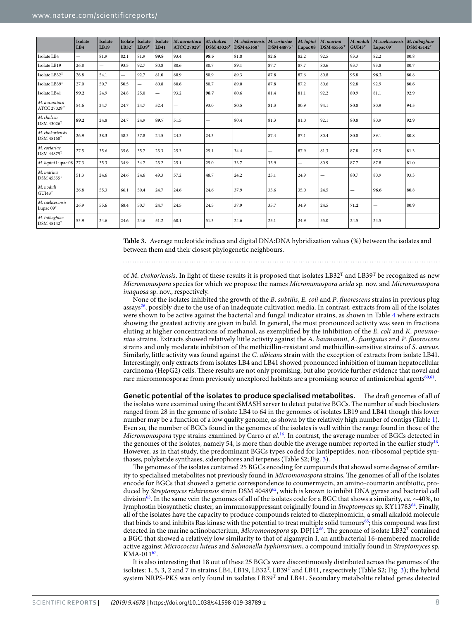<span id="page-8-0"></span>

|                                                      | Isolate<br>LB4           | <b>Isolate</b><br>LB19   | Isolate<br>LB32 <sup>T</sup> | Isolate<br>LB39 <sup>T</sup> | Isolate<br>LB41          | M. aurantiaca<br><b>ATCC 27029T</b> | M. chalcea<br><b>DSM 43026<sup>T</sup></b> | M. chokoriensis<br><b>DSM 45160</b> <sup>T</sup> | M. coriariae<br>$DSM 44875$ <sup>T</sup> | M. lupini<br>Lupac <sub>08</sub> | M. marina<br><b>DSM 45555</b> <sup>T</sup> | M. noduli<br>GUI43 <sup>T</sup> | M. saelicesensis<br>Lupac $09T$ | M. tulbaghiae<br><b>DSM 45142<sup>T</sup></b> |
|------------------------------------------------------|--------------------------|--------------------------|------------------------------|------------------------------|--------------------------|-------------------------------------|--------------------------------------------|--------------------------------------------------|------------------------------------------|----------------------------------|--------------------------------------------|---------------------------------|---------------------------------|-----------------------------------------------|
| Isolate LB4                                          | $\overline{\phantom{0}}$ | 81.9                     | 82.1                         | 81.9                         | 99.8                     | 93.4                                | 98.5                                       | 81.8                                             | 82.6                                     | 82.2                             | 92.5                                       | 93.3                            | 82.2                            | 80.8                                          |
| Isolate LB19                                         | 26.8                     | $\overline{\phantom{0}}$ | 93.5                         | 92.7                         | 80.8                     | 80.6                                | 80.7                                       | 89.1                                             | 87.7                                     | 87.7                             | 80.6                                       | 93.7                            | 93.8                            | 80.7                                          |
| Isolate LB32 <sup>T</sup>                            | 26.8                     | 54.1                     | $\overline{\phantom{0}}$     | 92.7                         | 81.0                     | 80.9                                | 80.9                                       | 89.3                                             | 87.8                                     | 87.6                             | 80.8                                       | 95.8                            | 96.2                            | 80.8                                          |
| Isolate LB39T                                        | 27.0                     | 50.7                     | 50.5                         | $\overline{\phantom{0}}$     | 80.8                     | 80.6                                | 80.7                                       | 89.0                                             | 87.8                                     | 87.2                             | 80.6                                       | 92.8                            | 92.9                            | 80.6                                          |
| Isolate LB41                                         | 99.2                     | 24.9                     | 24.8                         | 25.0                         | $\overline{\phantom{0}}$ | 93.2                                | 98.7                                       | 80.6                                             | 81.4                                     | 81.1                             | 92.2                                       | 80.9                            | 81.1                            | 92.9                                          |
| M. aurantiaca<br>$\mathrm{ATCC}\,27029\mathrm{^{T}}$ | 54.6                     | 24.7                     | 24.7                         | 24.7                         | 52.4                     |                                     | 93.0                                       | 80.5                                             | 81.3                                     | 80.9                             | 94.1                                       | 80.8                            | 80.9                            | 94.5                                          |
| M. chalcea<br>$DSM$ 43026 $T$                        | 89.2                     | 24.8                     | 24.7                         | 24.9                         | 89.7                     | 51.5                                | —                                          | 80.4                                             | 81.3                                     | 81.0                             | 92.1                                       | 80.8                            | 80.9                            | 92.9                                          |
| M. chokoriensis<br>DSM 45160 <sup>T</sup>            | 26.9                     | 38.3                     | 38.3                         | 37.8                         | 24.5                     | 24.3                                | 24.3                                       | $\overline{\phantom{0}}$                         | 87.4                                     | 87.1                             | 80.4                                       | 80.8                            | 89.1                            | 80.8                                          |
| M. coriariae<br><b>DSM 44875</b> <sup>T</sup>        | 27.5                     | 35.6                     | 35.6                         | 35.7                         | 25.3                     | 25.3                                | 25.1                                       | 34.4                                             | -                                        | 87.9                             | 81.3                                       | 87.8                            | 87.9                            | 81.3                                          |
| M. lupini Lupac 08                                   | 27.3                     | 35.3                     | 34.9                         | 34.7                         | 25.2                     | 25.1                                | 25.0                                       | 33.7                                             | 35.9                                     | $\overline{\phantom{0}}$         | 80.9                                       | 87.7                            | 87.8                            | 81.0                                          |
| M. marina<br>$DSM$ 45555 $T$                         | 51.3                     | 24.6                     | 24.6                         | 24.6                         | 49.3                     | 57.2                                | 48.7                                       | 24.2                                             | 25.1                                     | 24.9                             | -                                          | 80.7                            | 80.9                            | 93.3                                          |
| M. noduli<br>GUI43 <sup>T</sup>                      | 26.8                     | 55.3                     | 66.1                         | 50.4                         | 24.7                     | 24.6                                | 24.6                                       | 37.9                                             | 35.6                                     | 35.0                             | 24.5                                       | $\overline{\phantom{a}}$        | 96.6                            | 80.8                                          |
| M. saelicesensis<br>Lupac $09^T$                     | 26.9                     | 55.6                     | 68.4                         | 50.7                         | 24.7                     | 24.5                                | 24.5                                       | 37.9                                             | 35.7                                     | 34.9                             | 24.5                                       | 71.2                            |                                 | 80.9                                          |
| M. tulbaghiae<br>$DSM 45142$ <sup>T</sup>            | 53.9                     | 24.6                     | 24.6                         | 24.6                         | 51.2                     | 60.1                                | 51.3                                       | 24.6                                             | 25.1                                     | 24.9                             | 55.0                                       | 24.5                            | 24.5                            |                                               |

**Table 3.** Average nucleotide indices and digital DNA:DNA hybridization values (%) between the isolates and between them and their closest phylogenetic neighbours.

of M. chokoriensis. In light of these results it is proposed that isolates  $LB32<sup>T</sup>$  and  $LB39<sup>T</sup>$  be recognized as new Micromonospora species for which we propose the names Micromonospora arida sp. nov. and Micromonospora inaquosa sp. nov., respectively.

None of the isolates inhibited the growth of the B. subtilis, E. coli and P. fluorescens strains in previous plug assays<sup>[26](#page-13-24)</sup>, possibly due to the use of an inadequate cultivation media. In contrast, extracts from all of the isolates were shown to be active against the bacterial and fungal indicator strains, as shown in Table [4](#page-8-0) where extracts showing the greatest activity are given in bold. In general, the most pronounced activity was seen in fractions eluting at higher concentrations of methanol, as exemplified by the inhibition of the E. coli and K. pneumoniae strains. Extracts showed relatively little activity against the A. baumannii, A. fumigatus and P. fluorescens strains and only moderate inhibition of the methicillin-resistant and methicillin-sensitive strains of S. aureus. Similarly, little activity was found against the C. albicans strain with the exception of extracts from isolate LB41. Interestingly, only extracts from isolates LB4 and LB41 showed pronounced inhibition of human hepatocellular carcinoma (HepG2) cells. These results are not only promising, but also provide further evidence that novel and rare micromonosporae from previously unexplored habitats are a promising source of antimicrobial agents<sup>[60](#page-14-18),[61](#page-14-19)</sup>.

**Genetic potential of the isolates to produce specialised metabolites.** The draft genomes of all of the isolates were examined using the antiSMASH server to detect putative BGCs. The number of such bioclusters ranged from 28 in the genome of isolate LB4 to 64 in the genomes of isolates LB19 and LB41 though this lower number may be a function of a low quality genome, as shown by the relatively high number of contigs (Table [1](#page-1-0)). Even so, the number of BGCs found in the genomes of the isolates is well within the range found in those of the Micromonospora type strains examined by Carro et al.<sup>[16](#page-13-14)</sup>. In contrast, the average number of BGCs detected in the genomes of the isolates, namely 54, is more than double the average number reported in the earlier study<sup>[16](#page-13-14)</sup>. However, as in that study, the predominant BGCs types coded for lantipeptides, non-ribosomal peptide synthases, polyketide synthases, siderophores and terpenes (Table S2; Fig. [3](#page-9-0)).

The genomes of the isolates contained 25 BGCs encoding for compounds that showed some degree of similarity to specialised metabolites not previously found in Micromonospora strains. The genomes of all of the isolates encode for BGCs that showed a genetic correspondence to coumermycin, an amino-coumarin antibiotic, pro-duced by Streptomyces rishiriensis strain DSM 40489<sup>[62](#page-14-20)</sup>, which is known to inhibit DNA gyrase and bacterial cell division<sup>[63](#page-14-21)</sup>. In the same vein the genomes of all of the isolates code for a BGC that shows a similarity, *ca*. ∼40%, to lymphostin biosynthetic cluster, an immunosuppressant originally found in Streptomyces sp. KY11783<sup>[64](#page-14-22)</sup>. Finally, all of the isolates have the capacity to produce compounds related to diazepinomicin, a small alkaloid molecule that binds to and inhibits Ras kinase with the potential to treat multiple solid tumours<sup>[65](#page-14-23)</sup>; this compound was first detected in the marine actinobacterium, Micromonospora sp. DPJ12<sup>[66](#page-14-24)</sup>. The genome of isolate LB32<sup>T</sup> contained a BGC that showed a relatively low similarity to that of algamycin I, an antibacterial 16-membered macrolide active against Micrococcus luteus and Salmonella typhimurium, a compound initially found in Streptomyces sp.  $KMA-011^{67}$  $KMA-011^{67}$  $KMA-011^{67}$ .

It is also interesting that 18 out of these 25 BGCs were discontinuously distributed across the genomes of the isolates: 1, 5, 3, 2 and 7 in strains LB4, LB19, LB32<sup>T</sup>, LB39<sup>T</sup> and LB41, respectively (Table S2; Fig. [3\)](#page-9-0); the hybrid system NRPS-PKS was only found in isolates  $LB39^{T}$  and  $LB41$ . Secondary metabolite related genes detected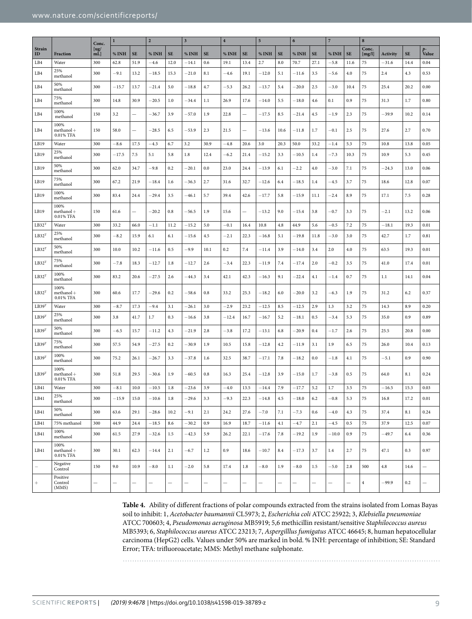|                   |                                   | Conc.      | $\bf{l}$  |                          | $\overline{2}$ |                          | $\mathbf 3$              |           | $\overline{4}$ |                          | 5                        |                          | 6          |           | $\overline{7}$ |                          | $\bf 8$         |                 |           |                          |
|-------------------|-----------------------------------|------------|-----------|--------------------------|----------------|--------------------------|--------------------------|-----------|----------------|--------------------------|--------------------------|--------------------------|------------|-----------|----------------|--------------------------|-----------------|-----------------|-----------|--------------------------|
| Strain<br>ID      | Fraction                          | [ug/<br>mL | % INH     | <b>SE</b>                | % INH          | <b>SE</b>                | % INH                    | <b>SE</b> | % INH          | <b>SE</b>                | % INH                    | <b>SE</b>                | % INH      | <b>SE</b> | % INH          | <b>SE</b>                | Conc.<br>[mg/l] | <b>Activity</b> | <b>SE</b> | Value                    |
| LB4               | Water                             | 300        | 62.8      | 51.9                     | $-4.6$         | 12.0                     | $-14.1$                  | 0.6       | 19.1           | 13.4                     | 2.7                      | 8.0                      | 70.7       | 27.1      | $-5.8$         | 11.6                     | 75              | $-31.6$         | 14.4      | 0.04                     |
| LB4               | 25%<br>methanol                   | 300        | -9.1      | 13.2                     | $-18.5$        | 15.3                     | $-21.0$                  | 8.1       | $^{-4.6}$      | 19.1                     | $-12.0$                  | 5.1                      | $-11.6$    | 3.5       | $-5.6$         | 4.0                      | 75              | 2.4             | 4.3       | 0.53                     |
| LB4               | 50%<br>methanol                   | 300        | $-15.7$   | 13.7                     | $-21.4$        | 5.0                      | $-18.8$                  | 4.7       | $-5.3$         | 26.2                     | $-13.7$                  | 5.4                      | $^{-20.0}$ | 2.5       | $-3.0$         | 10.4                     | 75              | 25.4            | 20.2      | 0.00                     |
| LB4               | 75%<br>methanol                   | 300        | 14.8      | 30.9                     | $-20.5$        | 1.0                      | $-34.4$                  | 1.1       | 26.9           | 17.6                     | $-14.0$                  | 5.5                      | $-18.0$    | 4.6       | 0.1            | 0.9                      | 75              | 31.3            | 1.7       | 0.80                     |
| LB4               | 100%<br>methanol                  | 150        | 3.2       | $\equiv$                 | $-36.7$        | 3.9                      | $-57.0$                  | 1.9       | 22.8           | $\overline{\phantom{0}}$ | $-17.5$                  | 8.5                      | $-21.4$    | 4.5       | $-1.9$         | 2.3                      | 75              | $-39.9$         | 10.2      | 0.14                     |
| LB4               | 100%<br>$method +$<br>0.01% TFA   | 150        | 58.0      | -                        | $-28.5$        | 6.5                      | $-53.9$                  | 2.3       | 21.5           | $\overline{\phantom{0}}$ | $-13.6$                  | 10.6                     | $-11.8$    | 1.7       | $^{ -0.1}$     | 2.5                      | 75              | 27.6            | 2.7       | 0.70                     |
| LB19              | Water                             | 300        | $-8.6$    | 17.5                     | $-4.3$         | 6.7                      | 3.2                      | 30.9      | $-4.8$         | 20.6                     | 3.0                      | 20.3                     | 50.0       | 33.2      | $^{-1.4}$      | 5.3                      | 75              | 10.8            | 13.8      | 0.05                     |
| LB19              | 25%<br>methanol                   | 300        | $-17.5$   | 7.5                      | 5.1            | 5.8                      | 1.8                      | 12.4      | $-6.2$         | 21.4                     | $-15.2$                  | 3.3                      | $-10.5$    | 1.4       | $-7.3$         | 10.3                     | 75              | 10.9            | 5.3       | 0.45                     |
| LB19              | 50%<br>methanol                   | 300        | 62.0      | 34.7                     | $-9.8$         | 0.2                      | $-20.1$                  | 0.0       | 23.0           | 24.4                     | $-13.9$                  | 6.1                      | $-2.2$     | 4.0       | $-3.0$         | 7.1                      | 75              | $-24.3$         | 13.0      | 0.06                     |
| LB19              | 75%<br>methanol                   | 300        | 67.2      | 21.9                     | $-18.4$        | 1.6                      | $-36.3$                  | 2.7       | 31.6           | 32.7                     | $-12.6$                  | 6.4                      | $-18.5$    | 1.4       | $-4.5$         | 3.7                      | 75              | 18.6            | 12.8      | 0.07                     |
| LB19              | 100%<br>methanol                  | 300        | 83.4      | 24.4                     | $-29.4$        | 3.5                      | $-46.1$                  | 5.7       | 39.4           | 42.6                     | $-17.7$                  | 5.8                      | $-15.9$    | 11.1      | $-2.4$         | 8.9                      | 75              | 17.1            | 7.5       | 0.28                     |
| LB19              | 100%<br>$methanol +$<br>0.01% TFA | 150        | 61.6      | $\overline{\phantom{0}}$ | $-20.2$        | 0.8                      | $-56.5$                  | 1.9       | 15.6           | $\overline{\phantom{0}}$ | $-13.2$                  | 9.0                      | $^{-15.4}$ | 3.8       | $-0.7$         | 3.3                      | 75              | $^{-2.1}$       | 13.2      | 0.06                     |
| LB32 <sup>T</sup> | Water                             | 300        | 33.2      | 66.0                     | $^{-1.1}$      | 11.2                     | $-15.2$                  | 5.0       | $-0.1$         | 16.4                     | 10.8                     | 4.8                      | 44.9       | 5.6       | $^{-0.5}$      | 7.2                      | 75              | $^{-18.1}$      | 19.3      | 0.01                     |
| LB32 <sup>T</sup> | 25%<br>methanol                   | 300        | $-8.2$    | 15.9                     | 6.1            | 6.1                      | $-15.6$                  | 4.5       | $^{-2.1}$      | 22.3                     | $-16.8$                  | 5.1                      | $-19.8$    | 11.8      | $-3.0$         | 3.0                      | 75              | 42.7            | 1.7       | 0.81                     |
| LB32 <sup>T</sup> | 50%<br>methanol                   | 300        | 10.0      | 10.2                     | $-11.6$        | 0.5                      | $-9.9$                   | 10.1      | 0.2            | 7.4                      | $-11.4$                  | 3.9                      | $-14.0$    | 3.4       | 2.0            | 4.0                      | 75              | 63.5            | 19.3      | 0.01                     |
| LB32 <sup>T</sup> | 75%<br>methanol                   | 300        | $^{-7.8}$ | 18.3                     | $-12.7$        | 1.8                      | $-12.7$                  | 2.6       | $-3.4$         | 22.3                     | $-11.9$                  | 7.4                      | $-17.4$    | 2.0       | $-0.2$         | 3.5                      | 75              | 41.0            | 17.4      | 0.01                     |
| LB32 <sup>T</sup> | 100%<br>methanol                  | 300        | 83.2      | 20.6                     | $-27.5$        | 2.6                      | $-44.3$                  | 3.4       | 42.1           | 42.3                     | $-16.3$                  | 9.1                      | $-22.4$    | 4.1       | $-1.4$         | 0.7                      | 75              | 1.1             | 14.1      | 0.04                     |
| LB32 <sup>T</sup> | 100%<br>$method +$<br>0.01% TFA   | 300        | 60.6      | 17.7                     | $-29.6$        | 0.2                      | $-58.6$                  | 0.8       | 33.2           | 25.3                     | $-18.2$                  | 6.0                      | $^{-20.0}$ | 3.2       | $-6.3$         | 1.9                      | 75              | 31.2            | 6.2       | 0.37                     |
| LB39 <sup>T</sup> | Water                             | 300        | $-8.7$    | 17.3                     | $-9.4$         | 3.1                      | $-26.1$                  | 3.0       | $-2.9$         | 23.2                     | $-12.5$                  | 8.5                      | $-12.5$    | 2.9       | 1.3            | 3.2                      | 75              | 14.3            | 8.9       | 0.20                     |
| LB39T             | 25%<br>methanol                   | 300        | 3.8       | 41.7                     | 1.7            | 0.3                      | $-16.6$                  | 3.8       | $-12.4$        | 16.7                     | $-16.7$                  | 5.2                      | $-18.1$    | 0.5       | $-3.4$         | 5.3                      | 75              | 35.0            | 0.9       | 0.89                     |
| LB39 <sup>T</sup> | 50%<br>methanol                   | 300        | -6.5      | 15.7                     | $-11.2$        | 4.3                      | $-21.9$                  | 2.8       | $-3.8$         | 17.2                     | $-13.1$                  | 6.8                      | $-20.9$    | 0.4       | $^{-1.7}$      | 2.6                      | 75              | 25.5            | 20.8      | 0.00                     |
| LB39 <sup>T</sup> | 75%<br>methanol                   | 300        | 57.5      | 54.9                     | $-27.5$        | 0.2                      | $-30.9$                  | 1.9       | 10.5           | 15.8                     | $-12.8$                  | 4.2                      | $-11.9$    | 3.1       | 1.9            | 6.5                      | 75              | 26.0            | 10.4      | 0.13                     |
| LB39T             | 100%<br>methanol                  | 300        | 75.2      | 26.1                     | $-26.7$        | 3.3                      | $-37.8$                  | 1.6       | 32.5           | 38.7                     | $-17.1$                  | 7.8                      | $-18.2$    | 0.0       | $^{-1.8}$      | 4.1                      | 75              | $-5.1$          | 0.9       | 0.90                     |
| LB39 <sup>T</sup> | 100%<br>$method +$<br>0.01% TFA   | 300        | 51.8      | 29.5                     | $-30.6$        | 1.9                      | $-60.5$                  | 0.8       | 16.3           | 25.4                     | $-12.8$                  | 3.9                      | $-15.0$    | 1.7       | $^{-3.8}$      | 0.5                      | 75              | 64.0            | 8.1       | 0.24                     |
| LB41              | Water                             | 300        | $-8.1$    | 10.0                     | $-10.5$        | 1.8                      | $-23.6$                  | 3.9       | $-4.0$         | 13.5                     | $-14.4$                  | 7.9                      | $-17.7$    | 5.2       | 1.7            | 3.5                      | 75              | $-16.5$         | 15.3      | 0.03                     |
| LB41              | 25%<br>methanol                   | 300        | $-15.9$   | 15.0                     | $-10.6$        | 1.8                      | $-29.6$                  | 3.3       | $-9.3$         | 22.3                     | $-14.8$                  | 4.5                      | $-18.0$    | $6.2\,$   | $-0.8$         | 5.3                      | 75              | 16.8            | 17.2      | 0.01                     |
| LB41              | 50%<br>methanol                   | 300        | 63.6      | 29.1                     | $-28.6$        | 10.2                     | $-9.1$                   | 2.1       | 24.2           | 27.6                     | $-7.0$                   | 7.1                      | $-7.3$     | 0.6       | $-4.0$         | 4.3                      | 75              | 37.4            | 8.1       | 0.24                     |
| LB41              | 75% methanol                      | 300        | 44.9      | 24.4                     | $-18.5$        | 8.6                      | $-30.2$                  | 0.9       | 16.9           | 18.7                     | $-11.6$                  | 4.1                      | $-4.7$     | 2.1       | $-4.5$         | 0.5                      | 75              | 37.9            | 12.5      | 0.07                     |
| LB41              | 100%<br>methanol                  | 300        | 61.5      | 27.9                     | $-32.6$        | 1.5                      | $-42.3$                  | 5.9       | 26.2           | 22.1                     | $-17.6$                  | 7.8                      | $-19.2$    | 1.9       | $-10.0$        | 0.9                      | 75              | $-49.7$         | 6.4       | 0.36                     |
| LB41              | 100%<br>$methanol +$<br>0.01% TFA | 300        | 30.1      | 62.3                     | $-14.4$        | 2.1                      | $-6.7$                   | 1.2       | 0.9            | 18.6                     | $-10.7$                  | 8.4                      | $-17.3$    | 3.7       | 1.4            | 2.7                      | 75              | 47.1            | 0.3       | 0.97                     |
| L.                | Negative<br>Control               | 150        | 9.0       | 10.9                     | $-8.0$         | 1.1                      | $-2.0$                   | 5.8       | 17.4           | 1.8                      | $-8.0$                   | 1.9                      | $-8.0$     | 1.5       | $-5.0$         | 2.8                      | 500             | $4.8\,$         | 14.6      | $\overline{\phantom{0}}$ |
| $\! + \!\!\!$     | Positive<br>Control<br>(MMS)      | —          | -         | -                        | -              | $\overline{\phantom{0}}$ | $\overline{\phantom{0}}$ |           | -              | -                        | $\overline{\phantom{0}}$ | $\overline{\phantom{0}}$ | -          | -         | -              | $\overline{\phantom{0}}$ | $\overline{4}$  | $-99.9$         | 0.2       | $\overline{\phantom{0}}$ |

<span id="page-9-0"></span>**Table 4.** Ability of diferent fractions of polar compounds extracted from the strains isolated from Lomas Bayas soil to inhibit: 1, Acetobacter baumannii CL5973; 2, Escherichia coli ATCC 25922; 3, Klebsiella pneumoniae ATCC 700603; 4, Pseudomonas aeruginosa MB5919; 5,6 methicillin resistant/sensitive Staphilococcus aureus MB5393; 6, Staphilococcus aureus ATCC 23213; 7, Aspergilllus fumigatus ATCC 46645; 8, human hepatocellular carcinoma (HepG2) cells. Values under 50% are marked in bold. % INH: percentage of inhibition; SE: Standard Error; TFA: triluoroacetate; MMS: Methyl methane sulphonate.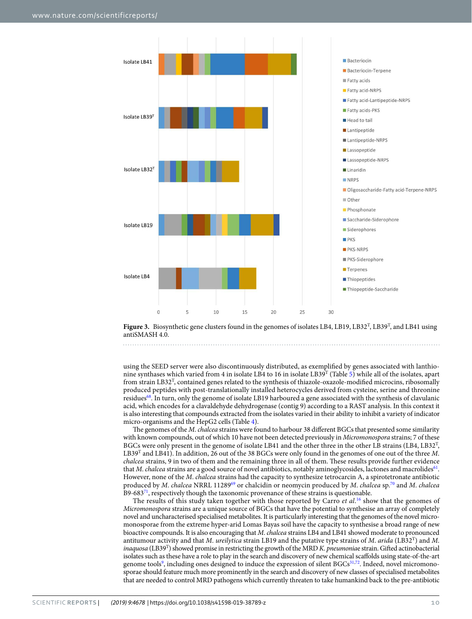<span id="page-10-0"></span>



using the SEED server were also discontinuously distributed, as exempliied by genes associated with lanthio-nine synthases which varied from 4 in isolate LB4 to 16 in isolate LB39<sup>T</sup> (Table [5\)](#page-10-0) while all of the isolates, apart from strain LB32<sup>T</sup>, contained genes related to the synthesis of thiazole-oxazole-modified microcins, ribosomally produced peptides with post-translationally installed heterocycles derived from cysteine, serine and threonine residues[68](#page-14-26). In turn, only the genome of isolate LB19 harboured a gene associated with the synthesis of clavulanic acid, which encodes for a clavaldehyde dehydrogenase (contig 9) according to a RAST analysis. In this context it is also interesting that compounds extracted from the isolates varied in their ability to inhibit a variety of indicator micro-organisms and the HepG2 cells (Table [4](#page-8-0)).

The genomes of the M. chalcea strains were found to harbour 38 different BGCs that presented some similarity with known compounds, out of which 10 have not been detected previously in Micromonospora strains; 7 of these BGCs were only present in the genome of isolate LB41 and the other three in the other LB strains (LB4, LB32<sup>T</sup>, LB39<sup>T</sup> and LB41). In addition, 26 out of the 38 BGCs were only found in the genomes of one out of the three M. chalcea strains, 9 in two of them and the remaining three in all of them. These results provide further evidence that M. chalcea strains are a good source of novel antibiotics, notably aminoglycosides, lactones and macrolides<sup>[61](#page-14-19)</sup>. However, none of the M. chalcea strains had the capacity to synthesize tetrocarcin A, a spirotetronate antibiotic produced by M. chalcea NRRL 11289<sup>[69](#page-14-27)</sup> or chalcidin or neomycin produced by M. chalcea sp.<sup>[70](#page-14-28)</sup> and M. chalcea B9-683 $^{71}$  $^{71}$  $^{71}$ , respectively though the taxonomic provenance of these strains is questionable.

The results of this study taken together with those reported by Carro *et al.*<sup>[16](#page-13-14)</sup> show that the genomes of Micromonospora strains are a unique source of BGCs that have the potential to synthesise an array of completely novel and uncharacterised specialised metabolites. It is particularly interesting that the genomes of the novel micromonosporae from the extreme hyper-arid Lomas Bayas soil have the capacity to synthesise a broad range of new bioactive compounds. It is also encouraging that M. chalcea strains LB4 and LB41 showed moderate to pronounced antitumour activity and that M. ureilytica strain LB19 and the putative type strains of M. arida (LB32<sup>T</sup>) and M. inaquosa (LB39<sup>T</sup>) showed promise in restricting the growth of the MRD K. pneumoniae strain. Gifted actinobacterial isolates such as these have a role to play in the search and discovery of new chemical scafolds using state-of-the-art genome tools<sup>[9](#page-13-8)</sup>, including ones designed to induce the expression of silent BGCs<sup>[31](#page-13-29)[,72](#page-14-30)</sup>. Indeed, novel micromonosporae should feature much more prominently in the search and discovery of new classes of specialised metabolites that are needed to control MRD pathogens which currently threaten to take humankind back to the pre-antibiotic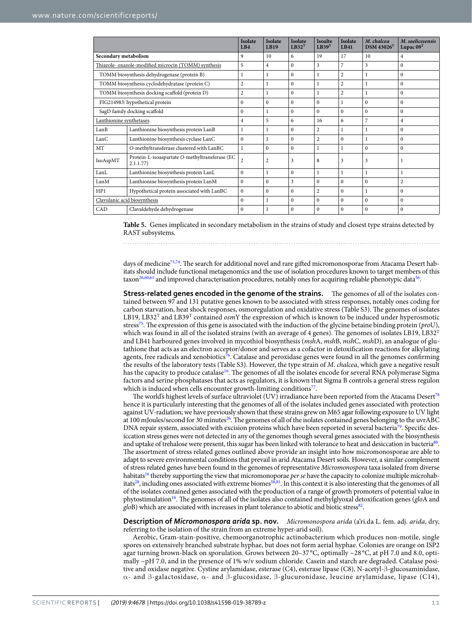|                              |                                                            | <b>Isolate</b><br>LBA | <b>Isolate</b><br><b>LB19</b> | <b>Isolate</b><br>$LB32^T$ | <b>Isoalte</b><br>LB39 <sup>T</sup> | <b>Isolate</b><br><b>LB41</b> | M. chalcea<br>$DSM$ 43026 <sup>T</sup> | M. saelicesensis<br>Lupac $09T$ |
|------------------------------|------------------------------------------------------------|-----------------------|-------------------------------|----------------------------|-------------------------------------|-------------------------------|----------------------------------------|---------------------------------|
| Secondary metabolism         |                                                            | 9                     | 10                            | 6                          | 19                                  | 17                            | 10                                     | $\overline{4}$                  |
|                              | Thiazole- oxazole-modified microcin (TOMM) synthesis       | 5                     | $\overline{4}$                | $\Omega$                   | 3                                   | $\overline{7}$                | 3                                      | $\Omega$                        |
|                              | TOMM biosynthesis dehydrogenase (protein B)                | 1                     | 1                             | $\Omega$                   | $\mathbf{1}$                        | $\overline{2}$                | 1                                      | $\Omega$                        |
|                              | TOMM biosynthesis cyclodehydratase (protein C)             | $\overline{c}$        | $\mathbf{1}$                  | $\mathbf{0}$               | 1                                   | $\overline{2}$                | $\mathbf{1}$                           | $\mathbf{0}$                    |
|                              | TOMM biosynthesis docking scaffold (protein D)             | 2                     | 1                             | $\Omega$                   | $\mathbf{1}$                        | $\overline{2}$                | 1                                      | $\Omega$                        |
|                              | FIG214983: hypothetical protein                            | $\Omega$              | $\Omega$                      | $\Omega$                   | $\Omega$                            |                               | $\Omega$                               | $\Omega$                        |
|                              | SagD family docking scaffold                               | $\mathbf{0}$          | 1                             | $\Omega$                   | $\Omega$                            | $\theta$                      | $\mathbf{0}$                           | $\Omega$                        |
| Lanthionine synthetases      |                                                            |                       | 5                             | 6                          | 16                                  | 6                             | $\overline{7}$                         | $\overline{4}$                  |
| LanB                         | Lanthionine biosynthesis protein LanB                      | 1                     | 1                             | $\Omega$                   | 2                                   |                               | $\mathbf{1}$                           | $\Omega$                        |
| LanC                         | Lanthionine biosynthesis cyclase LanC                      | $\mathbf{0}$          | 1                             | $\mathbf{0}$               | $\overline{c}$                      | $\theta$                      |                                        | $\mathbf{0}$                    |
| <b>MT</b>                    | O-methyltransferase clustered with LanBC                   | $\mathbf{1}$          | $\Omega$                      | $\Omega$                   | 1                                   |                               | $\Omega$                               | $\Omega$                        |
| IsoAspMT                     | Protein-L-isoaspartate O-methyltransferase (EC<br>2.1.1.77 | $\overline{2}$        | $\overline{2}$                | 3                          | 8                                   | 3                             | 3                                      | -1                              |
| LanL                         | Lanthionine biosynthesis protein LanL                      | $\overline{0}$        | 1                             | $\mathbf{0}$               | 1                                   |                               | 1                                      | 1                               |
| LanM                         | Lanthionine biosynthesis protein LanM                      | $\Omega$              | $\Omega$                      | 3                          | $\Omega$                            | $\Omega$                      | $\Omega$                               | $\overline{2}$                  |
| HP1                          | Hypothetical protein associated with LanBC                 | $\Omega$              | $\Omega$                      | $\Omega$                   | $\overline{c}$                      | $\Omega$                      | 1                                      | $\Omega$                        |
| Clavulanic acid biosynthesis |                                                            | $\Omega$              | 1                             | $\Omega$                   | $\Omega$                            | $\theta$                      | $\mathbf{0}$                           | $\Omega$                        |
| CAD                          | Clavaldehyde dehydrogenase                                 | $\Omega$              | 1                             | $\Omega$                   | $\Omega$                            | $\Omega$                      | $\Omega$                               | $\Omega$                        |

**Table 5.** Genes implicated in secondary metabolism in the strains of study and closest type strains detected by RAST subsystems.

days of medicine<sup>[73](#page-14-31),[74](#page-14-32)</sup>. The search for additional novel and rare gifted micromonosporae from Atacama Desert habitats should include functional metagenomics and the use of isolation procedures known to target members of this taxon<sup>[26](#page-13-24)[,60,](#page-14-18)[61](#page-14-19)</sup> and improved characterisation procedures, notably ones for acquiring reliable phenotypic data<sup>[56](#page-14-15)</sup>.

**Stress-related genes encoded in the genome of the strains.** The genomes of all of the isolates contained between 97 and 131 putative genes known to be associated with stress responses, notably ones coding for carbon starvation, heat shock responses, osmoregulation and oxidative stress (Table S3). The genomes of isolates LB19, LB32<sup>T</sup> and LB39<sup>T</sup> contained *osmY* the expression of which is known to be induced under hyperosmotic stress<sup>[75](#page-14-33)</sup>. The expression of this gene is associated with the induction of the glycine betaine binding protein (*pro*U), which was found in all of the isolated strains (with an average of 4 genes). The genomes of isolates LB19, LB32<sup>T</sup> and LB41 harboured genes involved in mycothiol biosynthesis (mshA, mshB, mshC, mshD), an analogue of glutathione that acts as an electron acceptor/donor and serves as a cofactor in detoxification reactions for alkylating agents, free radicals and xenobiotics<sup>[76](#page-14-34)</sup>. Catalase and peroxidase genes were found in all the genomes confirming the results of the laboratory tests (Table S3). However, the type strain of M. chalcea, which gave a negative result has the capacity to produce catalase<sup>[16](#page-13-14)</sup>. The genomes of all the isolates encode for several RNA polymerase Sigma factors and serine phosphatases that acts as regulators, it is known that Sigma B controls a general stress regulon which is induced when cells encounter growth-limiting conditions[77](#page-14-35).

The world's highest levels of surface ultraviolet (UV) irradiance have been reported from the Atacama Desert<sup>[78](#page-14-36)</sup> hence it is particularly interesting that the genomes of all of the isolates included genes associated with protection against UV-radiation; we have previously shown that these strains grew on M65 agar following exposure to UV light at 100 mJoules/second for 30 minutes<sup>[26](#page-13-24)</sup>. The genomes of all of the isolates contained genes belonging to the uvrABC DNA repair system, associated with excision proteins which have been reported in several bacteria<sup>[79](#page-14-37)</sup>. Specific desiccation stress genes were not detected in any of the genomes though several genes associated with the biosynthesis and uptake of trehalose were present, this sugar has been linked with tolerance to heat and desiccation in bacteria<sup>[80](#page-14-38)</sup>. The assortment of stress related genes outlined above provide an insight into how micromonosporae are able to adapt to severe environmental conditions that prevail in arid Atacama Desert soils. However, a similar complement of stress related genes have been found in the genomes of representative Micromonospora taxa isolated from diverse habitats<sup>[16](#page-13-14)</sup> thereby supporting the view that micromonoporae per se have the capacity to colonize multiple microhab-itats<sup>[28](#page-13-26)</sup>, including ones associated with extreme biomes<sup>[58](#page-14-39)[,81](#page-14-40)</sup>. In this context it is also interesting that the genomes of all of the isolates contained genes associated with the production of a range of growth promoters of potential value in phytostimulation<sup>[16](#page-13-14)</sup>. The genomes of all of the isolates also contained methylglyoxal detoxification genes (gloA and gloB) which are associated with increases in plant tolerance to abiotic and biotic stress<sup>[82](#page-14-41)</sup>.

**Description of** *Micromonospora arida* **sp. nov.** Micromonospora arida (a'ri.da L. fem. adj. arida, dry, referring to the isolation of the strain from an extreme hyper-arid soil).

Aerobic, Gram-stain-positive, chemoorganotrophic actinobacterium which produces non-motile, single spores on extensively branched substrate hyphae, but does not form aerial hyphae. Colonies are orange on ISP2 agar turning brown-black on sporulation. Grows between 20–37 °C, optimally ~28 °C, at pH 7.0 and 8.0, optimally ~pH 7.0, and in the presence of 1% w/v sodium chloride. Casein and starch are degraded. Catalase positive and oxidase negative. Cystine arylamidase, esterase (C4), esterase lipase (C8), N-acetyl-β-glucosaminidase, α- and β-galactosidase, α- and β-glucosidase, β-glucuronidase, leucine arylamidase, lipase (C14),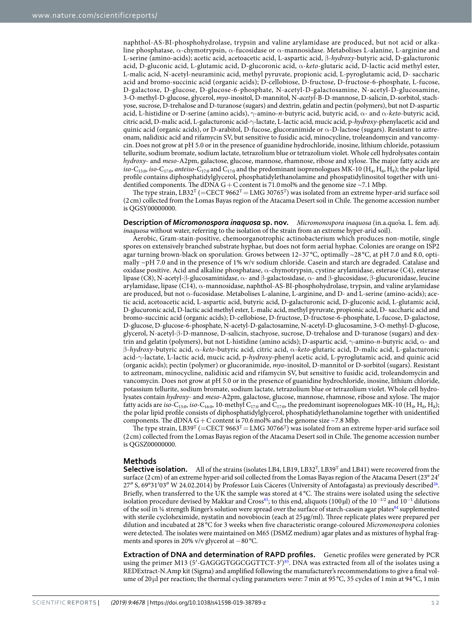naphthol-AS-BI-phosphohydrolase, trypsin and valine arylamidase are produced, but not acid or alkaline phosphatase, α-chymotrypsin, α-fucosidase or α-mannosidase. Metabolises L-alanine, L-arginine and L-serine (amino-acids); acetic acid, acetoacetic acid, L-aspartic acid, β-hydroxy-butyric acid, D-galacturonic acid, D-gluconic acid, L-glutamic acid, D-glucoronic acid, α-keto-glutaric acid, D-lactic acid methyl ester, L-malic acid, N-acetyl-neuraminic acid, methyl pyruvate, propionic acid, L-pyroglutamic acid, D- saccharic acid and bromo-succinic acid (organic acids); D-cellobiose, D-fructose, D-fructose-6-phosphate, L-fucose, D-galactose, D-glucose, D-glucose-6-phosphate, N-acetyl-D-galactosamine, N-acetyl-D-glucosamine, 3-O-methyl-D-glucose, glycerol, myo-inositol, D-mannitol, N-acetyl-B-D-mannose, D-salicin, D-sorbitol, stachyose, sucrose, D-trehalose and D-turanose (sugars) and dextrin, gelatin and pectin (polymers), but not D-aspartic acid, L-histidine or D-serine (amino acids),  $\gamma$ -amino-*n*-butyric acid, butyric acid, α- and α-keto-butyric acid, citric acid, D-malic acid, L-galacturonic acid-γ-lactate, L-lactic acid, mucic acid, p-hydroxy-phenylacetic acid and quinic acid (organic acids), or D-arabitol, D-fucose, glucoranimide or  $\alpha$ -D-lactose (sugars). Resistant to aztreonam, nalidixic acid and rifamycin SV, but sensitive to fusidic acid, minocycline, troleandomycin and vancomycin. Does not grow at pH 5.0 or in the presence of guanidine hydrochloride, inosine, lithium chloride, potassium tellurite, sodium bromate, sodium lactate, tetrazolium blue or tetrazolium violet. Whole cell hydrolysates contain hydroxy- and meso-A2pm, galactose, glucose, mannose, rhamnose, ribose and xylose. The major fatty acids are *iso*-C<sub>15:0</sub>, *iso*-C<sub>17:0</sub>, *anteiso*-C<sub>17:0</sub> and C<sub>17:0</sub> and the predominant isoprenologues MK-10 (H<sub>4</sub>, H<sub>6</sub>, H<sub>8</sub>); the polar lipid profile contains diphosphatidylglycerol, phosphatidylethanolamine and phospatidylinositol together with unidentified components. The dDNA G + C content is 71.0 mol% and the genome size ~7.1 Mbp.

The type strain, LB32<sup>T</sup> (=CECT 9662<sup>T</sup> = LMG 30765<sup>T</sup>) was isolated from an extreme hyper-arid surface soil (2 cm) collected from the Lomas Bayas region of the Atacama Desert soil in Chile. The genome accession number is QGSY00000000.

**Description of** *Micromonospora inaquosa* **sp. nov.** Micromonospora inaquosa (in.a.quo'sa. L. fem. adj. inaquosa without water, referring to the isolation of the strain from an extreme hyper-arid soil).

Aerobic, Gram-stain-positive, chemoorganotrophic actinobacterium which produces non-motile, single spores on extensively branched substrate hyphae, but does not form aerial hyphae. Colonies are orange on ISP2 agar turning brown-black on sporulation. Grows between 12–37 °C, optimally ~28 °C, at pH 7.0 and 8.0, optimally ~pH 7.0 and in the presence of 1% w/v sodium chloride. Casein and starch are degraded. Catalase and oxidase positive. Acid and alkaline phosphatase, α-chymotrypsin, cystine arylamidase, esterase (C4), esterase lipase (C8), N-acetyl-β-glucosaminidase, α- and β-galactosidase, α- and β-glucosidase, β-glucuronidase, leucine arylamidase, lipase (C14), α-mannosidase, naphthol-AS-BI-phosphohydrolase, trypsin, and valine arylamidase are produced, but not α-fucosidase. Metabolises L-alanine, L-arginine, and D- and L-serine (amino-acids); acetic acid, acetoacetic acid, L-aspartic acid, butyric acid, D-galacturonic acid, D-gluconic acid, L-glutamic acid, D-glucuronic acid, D-lactic acid methyl ester, L-malic acid, methyl pyruvate, propionic acid, D- saccharic acid and bromo-succinic acid (organic acids); D-cellobiose, D-fructose, D-fructose-6-phosphate, L-fucose, D-galactose, D-glucose, D-glucose-6-phosphate, N-acetyl-D-galactosamine, N-acetyl-D-glucosamine, 3-O-methyl-D-glucose, glycerol, N-acetyl-β-D-mannose, D-salicin, stachyose, sucrose, D-trehalose and D-turanose (sugars) and dextrin and gelatin (polymers), but not L-histidine (amino acids); D-aspartic acid,  $γ$ -amino-*n*-butyric acid,  $α$ - and β-hydroxy-butyric acid, α-keto-butyric acid, citric acid, α-keto-glutaric acid, D-malic acid, L-galacturonic acid-γ-lactate, L-lactic acid, mucic acid, p-hydroxy-phenyl acetic acid, L-pyroglutamic acid, and quinic acid (organic acids); pectin (polymer) or glucoranimide, myo-inositol, D-mannitol or D-sorbitol (sugars). Resistant to aztreonam, minocycline, nalidixic acid and rifamycin SV, but sensitive to fusidic acid, troleandomycin and vancomycin. Does not grow at pH 5.0 or in the presence of guanidine hydrochloride, inosine, lithium chloride, potassium tellurite, sodium bromate, sodium lactate, tetrazolium blue or tetrazolium violet. Whole cell hydrolysates contain hydroxy- and meso-A2pm, galactose, glucose, mannose, rhamnose, ribose and xylose. The major fatty acids are *iso*-C<sub>15:0</sub>, *iso*-C<sub>16:0</sub>, 10-methyl C<sub>17:0</sub> and C<sub>17:0</sub>, the predominant isoprenologues MK-10 (H<sub>4</sub>, H<sub>6</sub>, H<sub>8</sub>); the polar lipid profile consists of diphosphatidylglycerol, phosphatidylethanolamine together with unidentified components. The dDNA G + C content is 70.6 mol% and the genome size  $\sim$  7.8 Mbp.

The type strain, LB39<sup>T</sup> (=CECT 9663<sup>T</sup> = LMG 30766<sup>T</sup>) was isolated from an extreme hyper-arid surface soil (2 cm) collected from the Lomas Bayas region of the Atacama Desert soil in Chile. The genome accession number is QGSZ00000000.

### **Methods**

**Selective isolation.** All of the strains (isolates LB4, LB19, LB32<sup>T</sup>, LB39<sup>T</sup> and LB41) were recovered from the surface (2 cm) of an extreme hyper-arid soil collected from the Lomas Bayas region of the Atacama Desert (23° 24′ 27" S, 69°31'03" W 24.02.2014) by Professor Luis Cáceres (University of Antofagasta) as previously described<sup>[26](#page-13-24)</sup>. Briefly, when transferred to the UK the sample was stored at 4 °C. The strains were isolated using the selective isolation procedure devised by Makkar and Cross<sup>[83](#page-14-42)</sup>; to this end, aliquots (100µl) of the 10<sup>−1/2</sup> and 10<sup>−1</sup> dilutions of the soil in ¼ strength Ringer's solution were spread over the surface of starch-casein agar plates $84$  supplemented with sterile cycloheximide, nystatin and novobiocin (each at 25  $\mu$ g/ml). Three replicate plates were prepared per dilution and incubated at 28 °C for 3 weeks when ive characteristic orange-coloured Micromonospora colonies were detected. he isolates were maintained on M65 (DSMZ medium) agar plates and as mixtures of hyphal fragments and spores in 20% v/v glycerol at −80 °C.

**Extraction of DNA and determination of RAPD profiles.** Genetic profiles were generated by PCR using the primer M13 (5'-GAGGGTGGCGGTTCT-3')<sup>[85](#page-15-0)</sup>. DNA was extracted from all of the isolates using a REDExtract-N.Amp kit (Sigma) and amplified following the manufacturer's recommendations to give a final volume of 20  $\mu$ l per reaction; the thermal cycling parameters were: 7 min at 95 °C, 35 cycles of 1 min at 94 °C, 1 min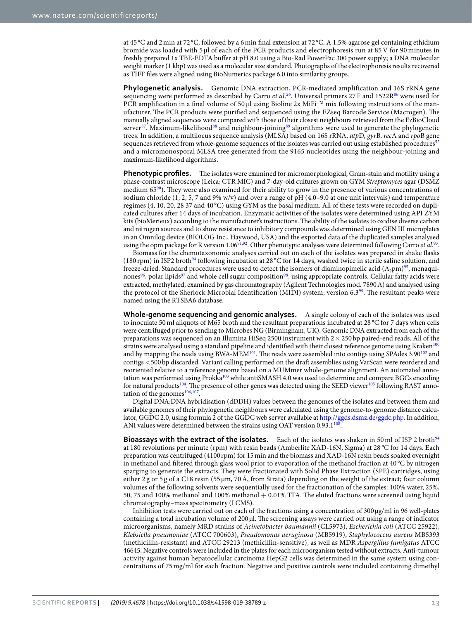at 45 °C and 2 min at 72 °C, followed by a 6 min inal extension at 72 °C. A 1.5% agarose gel containing ethidium bromide was loaded with 5 µl of each of the PCR products and electrophoresis run at 85 V for 90 minutes in freshly prepared 1x TBE-EDTA bufer at pH 8.0 using a Bio-Rad PowerPac 300 power supply; a DNA molecular weight marker (1 kbp) was used as a molecular size standard. Photographs of the electrophoresis results recovered as TIFF files were aligned using BioNumerics package 6.0 into similarity groups.

<span id="page-13-3"></span><span id="page-13-2"></span><span id="page-13-1"></span><span id="page-13-0"></span>**Phylogenetic analysis.** Genomic DNA extraction, PCR-mediated amplification and 16S rRNA gene sequencing were performed as described by Carro et al.<sup>[26](#page-13-24)</sup>. Universal primers 27 F and 1522R<sup>[86](#page-15-1)</sup> were used for PCR amplification in a final volume of 50  $\mu$ l using Bioline 2x MiFi<sup>TM</sup> mix following instructions of the manufacturer. he PCR products were puriied and sequenced using the EZseq Barcode Service (Macrogen). he manually aligned sequences were compared with those of their closest neighbours retrieved from the EzBioCloud server<sup>[87](#page-15-2)</sup>. Maximum-likelihood<sup>[88](#page-15-3)</sup> and neighbour-joining<sup>[89](#page-15-4)</sup> algorithms were used to generate the phylogenetic trees. In addition, a multilocus sequence analysis (MLSA) based on 16S rRNA, atpD, gyrB, recA and rpoB gene sequences retrieved from whole-genome sequences of the isolates was carried out using established procedures<sup>[52](#page-14-11)</sup> and a micromonosporal MLSA tree generated from the 9165 nucleotides using the neighbour-joining and maximum-likelihood algorithms.

<span id="page-13-10"></span><span id="page-13-9"></span><span id="page-13-8"></span><span id="page-13-7"></span><span id="page-13-6"></span><span id="page-13-5"></span><span id="page-13-4"></span>Phenotypic profiles. The isolates were examined for micromorphological, Gram-stain and motility using a phase-contrast microscope (Leica; CTR MIC) and 7-day-old cultures grown on GYM Streptomyces agar (DSMZ medium  $65\%$ ). They were also examined for their ability to grow in the presence of various concentrations of sodium chloride (1, 2, 5, 7 and 9% w/v) and over a range of pH (4.0–9.0 at one unit intervals) and temperature regimes (4, 10, 20, 28 37 and 40 °C) using GYM as the basal medium. All of these tests were recorded on duplicated cultures ater 14 days of incubation. Enzymatic activities of the isolates were determined using API ZYM kits (bioMerieux) according to the manufacturer's instructions. The ability of the isolates to oxidise diverse carbon and nitrogen sources and to show resistance to inhibitory compounds was determined using GEN III microplates in an Omnilog device (BIOLOG Inc., Haywood, USA) and the exported data of the duplicated samples analysed using the opm package for R version  $1.06^{91,92}$  $1.06^{91,92}$  $1.06^{91,92}$  $1.06^{91,92}$ . Other phenotypic analyses were determined following Carro *et al.*<sup>[93](#page-15-8)</sup>.

<span id="page-13-15"></span><span id="page-13-14"></span><span id="page-13-13"></span><span id="page-13-12"></span><span id="page-13-11"></span>Biomass for the chemotaxonomic analyses carried out on each of the isolates was prepared in shake lasks (180 rpm) in ISP2 broth[94](#page-15-9) following incubation at 28 °C for 14 days, washed twice in sterile saline solution, and freeze-dried. Standard procedures were used to detect the isomers of diaminopimelic acid  $(A_2pm)^{95}$  $(A_2pm)^{95}$  $(A_2pm)^{95}$ , menaqui-nones<sup>[96](#page-15-11)</sup>, polar lipids<sup>[97](#page-15-12)</sup> and whole cell sugar composition<sup>[98](#page-15-13)</sup>, using appropriate controls. Cellular fatty acids were extracted, methylated, examined by gas chromatography (Agilent Technologies mod. 7890 A) and analysed using the protocol of the Sherlock Microbial Identification (MIDI) system, version  $6.3\%$ . The resultant peaks were named using the RTSBA6 database.

<span id="page-13-21"></span><span id="page-13-20"></span><span id="page-13-19"></span><span id="page-13-18"></span><span id="page-13-17"></span><span id="page-13-16"></span>**Whole-genome sequencing and genomic analyses.** A single colony of each of the isolates was used to inoculate 50 ml aliquots of M65 broth and the resultant preparations incubated at 28 °C for 7 days when cells were centrifuged prior to sending to Microbes NG (Birmingham, UK). Genomic DNA extracted from each of the preparations was sequenced on an Illumina HiSeq 2500 instrument with  $2 \times 250$  bp paired-end reads. All of the strains were analysed using a standard pipeline and identified with their closest reference genome using Kraken<sup>[100](#page-15-15)</sup> and by mapping the reads using BWA-MEM<sup>[101](#page-15-16)</sup>. The reads were assembled into contigs using SPAdes 3.90<sup>[102](#page-15-17)</sup> and contigs <500 bp discarded. Variant calling performed on the draft assemblies using VarScan were reordered and reoriented relative to a reference genome based on a MUMmer whole-genome alignment. An automated anno-tation was performed using Prokka<sup>[103](#page-15-18)</sup> while antiSMASH 4.0 was used to determine and compare BGCs encoding for natural products<sup>[104](#page-15-19)</sup>. The presence of other genes was detected using the SEED viewer<sup>[105](#page-15-20)</sup> following RAST anno-tation of the genomes<sup>[106](#page-15-21)[,107](#page-15-22)</sup>.

<span id="page-13-26"></span><span id="page-13-25"></span><span id="page-13-24"></span><span id="page-13-23"></span><span id="page-13-22"></span>Digital DNA:DNA hybridisation (dDDH) values between the genomes of the isolates and between them and available genomes of their phylogenetic neighbours were calculated using the genome-to-genome distance calculator, GGDC 2.0, using formula 2 of the GGDC web server available at<http://ggds.dsmz.de/ggdc.php>. In addition, ANI values were determined between the strains using OAT version  $0.93.1^{108}$  $0.93.1^{108}$  $0.93.1^{108}$ .

<span id="page-13-31"></span><span id="page-13-30"></span><span id="page-13-29"></span><span id="page-13-28"></span><span id="page-13-27"></span>**Bioassays with the extract of the isolates.** Each of the isolates was shaken in 50 ml of ISP 2 broth<sup>[94](#page-15-9)</sup> at 180 revolutions per minute (rpm) with resin beads (Amberlite XAD-16N, Sigma) at 28 °C for 14 days. Each preparation was centrifuged (4100 rpm) for 15 min and the biomass and XAD-16N resin beads soaked overnight in methanol and iltered through glass wool prior to evaporation of the methanol fraction at 40 °C by nitrogen sparging to generate the extracts. hey were fractionated with Solid Phase Extraction (SPE) cartridges, using either 2 g or 5 g of a C18 resin (55 µm, 70 Å, from Strata) depending on the weight of the extract; four column volumes of the following solvents were sequentially used for the fractionation of the samples: 100% water, 25%, 50, 75 and 100% methanol and 100% methanol  $+$  0.01% TFA. The eluted fractions were screened using liquid chromatography–mass spectrometry (LCMS).

<span id="page-13-38"></span><span id="page-13-37"></span><span id="page-13-36"></span><span id="page-13-35"></span><span id="page-13-34"></span><span id="page-13-33"></span><span id="page-13-32"></span>Inhibition tests were carried out on each of the fractions using a concentration of 300 µg/ml in 96 well-plates containing a total incubation volume of  $200 \mu$ . The screening assays were carried out using a range of indicator microorganisms, namely MRD strains of Acinetobacter baumannii (CL5973), Escherichia coli (ATCC 25922), Klebsiella pneumoniae (ATCC 700603), Pseudomonas aeruginosa (MB5919), Staphylococcus aureus MB5393 (methicillin-resistant) and ATCC 29213 (methicillin-sensitive), as well as MDR Aspergillus fumigatus ATCC 46645. Negative controls were included in the plates for each microorganism tested without extracts. Anti-tumour activity against human hepatocellular carcinoma HepG2 cells was determined in the same system using concentrations of 75 mg/ml for each fraction. Negative and positive controls were included containing dimethyl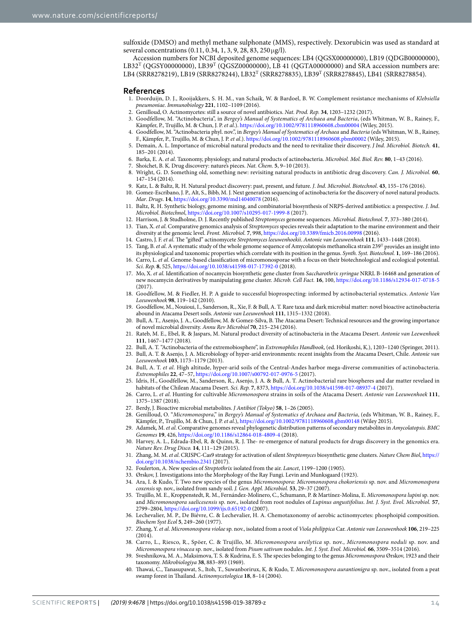<span id="page-14-0"></span>sulfoxide (DMSO) and methyl methane sulphonate (MMS), respectively. Dexorubicin was used as standard at several concentrations (0.11, 0.34, 1, 3, 9, 28, 83, 250 µg/l).

<span id="page-14-3"></span><span id="page-14-2"></span><span id="page-14-1"></span>Accession numbers for NCBI deposited genome sequences: LB4 (QGSX00000000), LB19 (QDGB00000000),  $LB32^T$  (QGSY00000000),  $LB39^T$  (QGSZ0000000),  $LB41$  (QGTA00000000) and SRA accession numbers are: LB4 (SRR8278219), LB19 (SRR8278244), LB32<sup>T</sup> (SRR8278835), LB39<sup>T</sup> (SRR8278845), LB41 (SRR8278854).

#### <span id="page-14-4"></span>**References**

- <span id="page-14-5"></span> 1. Doorduijn, D. J., Rooijakkers, S. H. M., van Schaik, W. & Bardoel, B. W. Complement resistance mechanisms of Klebsiella pneumoniae. Immunobiology **221**, 1102–1109 (2016).
- 2. Genilloud, O. Actinomycetes: still a source of novel antibiotics. Nat. Prod. Rep. **34**, 1203–1232 (2017).
- <span id="page-14-6"></span> 3. Goodfellow, M. "Actinobacteria", in Bergey's Manual of Systematics of Archaea and Bacteria, (eds Whitman, W. B., Rainey, F., Kämpfer, P., Trujillo, M. & Chun, J. P. et al.). <https://doi.org/10.1002/9781118960608.cbm00004> (Wiley, 2015).
- <span id="page-14-7"></span>4. Goodfellow, M. "Actinobacteria phyl. nov.", in Bergey's Manual of Systematics of Archaea and Bacteria (eds Whitman, W. B., Rainey, F., Kämpfer, P., Trujillo, M. & Chun, J. P. et al.). <https://doi.org/10.1002/9781118960608.pbm00002> (Wiley, 2015)
- <span id="page-14-8"></span> 5. Demain, A. L. Importance of microbial natural products and the need to revitalize their discovery. J Ind. Microbiol. Biotech. **41**, 185–201 (2014).
- <span id="page-14-9"></span>6. Barka, E. A. et al. Taxonomy, physiology, and natural products of actinobacteria. Microbiol. Mol. Biol. Rev. **80**, 1–43 (2016).
- 7. Shoichet, B. K. Drug discovery: nature's pieces. Nat. Chem. **5**, 9–10 (2013).
- <span id="page-14-10"></span> 8. Wright, G. D. Something old, something new: revisiting natural products in antibiotic drug discovery. Can. J. Microbiol. **60**, 147–154 (2014).
- <span id="page-14-11"></span>9. Katz, L. & Baltz, R. H. Natural product discovery: past, present, and future. J. Ind. Microbiol. Biotechnol. **43**, 155–176 (2016).
- 10. Gomez-Escribano, J. P., Alt, S., Bibb, M. J. Next generation sequencing of actinobacteria for the discovery of novel natural products. Mar. Drugs. **14**,<https://doi.org/10.3390/md14040078> (2016).
- <span id="page-14-12"></span> 11. Baltz, R. H. Synthetic biology, genome mining, and combinatorial biosynthesis of NRPS-derived antibiotics: a prespective. J. Ind. Microbiol. Biotechnol,<https://doi.org/10.1007/s10295-017-1999-8>(2017).
- <span id="page-14-13"></span>12. Harrison, J. & Studholme, D. J. Recently published Streptomyces genome sequences. Microbial. Biotechnol. **7**, 373–380 (2014).
- <span id="page-14-14"></span>Tian, X. et al. Comparative genomics analysis of Streptomyces species reveals their adaptation to the marine environment and their diversity at the genomic level. Front. Microbiol. **7**, 998, <https://doi.org/10.3389/fmicb.2016.00998>(2016).
- <span id="page-14-15"></span>14. Castro, J. F. et al. he "gited" actinomycete Streptomyces leeuwenhoekii. Antonie van Leeuwenhoek **111**, 1433–1448 (2018).
- 15. Tang, B. et al. A systematic study of the whole genome sequence of Amycolatopsis methanolica strain 239<sup>T</sup> provides an insight into its physiological and taxonomic properties which correlate with its position in the genus. Synth. Syst. Biotechnol. **1**, 169–186 (2016).
- <span id="page-14-16"></span>16. Carro, L. et al. Genome-based classification of micromonosporae with a focus on their biotechnological and ecological potential. Sci. Rep. **8**, 525, <https://doi.org/10.1038/s41598-017-17392-0>(2018).
- <span id="page-14-39"></span>17. Mo, X. et al. Identification of nocamycin biosynthetic gene cluster from Saccharothrix syringae NRRL B-16468 and generation of new nocamycin derivatives by manipulating gene cluster. Microb. Cell Fact. **16**, 100,<https://doi.org/10.1186/s12934-017-0718-5>  $(2017)$
- <span id="page-14-17"></span> 18. Goodfellow, M. & Fiedler, H. P. A guide to successful bioprospecting: informed by actinobacterial systematics. Antonie Van Leeuwenhoek **98**, 119–142 (2010).
- <span id="page-14-18"></span> 19. Goodfellow, M., Nouioui, I., Sanderson, R., Xie, F. & Bull, A. T. Rare taxa and dark microbial matter: novel bioactive actinobacteria abound in Atacama Desert soils. Antonie van Leeuwenhoek **111**, 1315–1332 (2018).
- <span id="page-14-19"></span> 20. Bull, A. T., Asenjo, J. A., Goodfellow, M. & Gomez-Silva, B. he Atacama Desert: Technical resources and the growing importance of novel microbial diversity. Annu Rev Microbiol **70**, 215–234 (2016).
- <span id="page-14-20"></span>21. Rateb, M. E., Ebel, R. & Jaspars, M. Natural product diversity of actinobacteria in the Atacama Desert. Antonie van Leewenhoek **111**, 1467–1477 (2018).
- <span id="page-14-21"></span>22. Bull, A. T. "Actinobacteria of the extremobiosphere", in Extremophiles Handbook, (ed. Horikoshi, K.), 1203–1240 (Springer, 2011).
- <span id="page-14-22"></span>23. Bull, A. T. & Asenjo, J. A. Microbiology of hyper-arid environments: recent insights from the Atacama Desert, Chile. Antonie van Leeuwenhoek **103**, 1173–1179 (2013).
- <span id="page-14-23"></span> 24. Bull, A. T. et al. High altitude, hyper-arid soils of the Central-Andes harbor mega-diverse communities of actinobacteria. Extremophiles **22**, 47–57,<https://doi.org/10.1007/s00792-017-0976-5>(2017).
- <span id="page-14-24"></span> 25. Idris, H., Goodfellow, M., Sanderson, R., Asenjo, J. A. & Bull, A. T. Actinobacterial rare biospheres and dar matter revelaed in habitats of the Chilean Atacama Desert. Sci. Rep. **7**, 8373, <https://doi.org/10.1038/s41598-017-08937-4> (2017).
- <span id="page-14-25"></span> 26. Carro, L. et al. Hunting for cultivable Micromonospora strains in soils of the Atacama Desert. Antonie van Leeuwenhoek **111**, 1375–1387 (2018).
- <span id="page-14-26"></span>27. Berdy, J. Bioactive microbial metabolites. J Antibiot (Tokyo) **58**, 1–26 (2005).
- 28. Genilloud, O. "Micromonospora," in Bergey's Manual of Systematics of Archaea and Bacteria, (eds Whitman, W. B., Rainey, F., Kämpfer, P., Trujillo, M. & Chun, J. P. et al.), <https://doi.org/10.1002/9781118960608.gbm00148>(Wiley 2015).
- <span id="page-14-27"></span>29. Adamek, M. et al. Comparative genomes reveal phylogenetic distribution patterns of secondary metabolites in Amycolatopsis. BMC Genomes **19**, 426, <https://doi.org/10.1186/s12864-018-4809-4>(2018).
- <span id="page-14-29"></span><span id="page-14-28"></span> 30. Harvey, A. L., Edrada-Ebel, R. & Quinn, R. J. he- re-emergence of natural products for drugs discovery in the genomics era. Nature Rev. Drug Disco. **14**, 111–129 (2015).
- 31. Zhang, M. M. et al. CRISPC-Cas9 strategy for activation of silent Streptomyces biosynthetic gene clusters. Nature Chem Biol, [https://](https://doi.org/10.1038/nchembio.2341) [doi.org/10.1038/nchembio.2341](https://doi.org/10.1038/nchembio.2341) (2017).
- <span id="page-14-31"></span><span id="page-14-30"></span>32. Foulerton, A. New species of Streptothrix isolated from the air. Lancet, 1199–1200 (1905).
- <span id="page-14-32"></span>33. Ørskov, J. Investigations into the Morphology of the Ray Fungi. Levin and Munksgaard (1923).
- <span id="page-14-33"></span> 34. Ara, I. & Kudo, T. Two new species of the genus Micromonospora: Micromonospora chokoriensis sp. nov. and Micromonospora coxensis sp. nov., isolated from sandy soil. J. Gen. Appl. Microbiol. **53**, 29–37 (2007).
- <span id="page-14-34"></span>35. Trujillo, M. E., Kroppenstedt, R. M., Fernández-Molinero, C., Schumann, P. & Martínez-Molina, E. Micromonospora lupini sp. nov. and Micromonospora saelicesensis sp. nov., isolated from root nodules of Lupinus angustifolius. Int. J. Syst. Evol. Microbiol. **57**, 2799–2804, <https://doi.org/10.1099/ijs.0.65192-0>(2007).
- <span id="page-14-35"></span> 36. Lechevalier, M. P., De Biévre, C. & Lechevalier, H. A. Chemotaxonomy of aerobic actinomycetes: phosphoipid composition. Biochem Syst Ecol **5**, 249–260 (1977).
- <span id="page-14-37"></span><span id="page-14-36"></span> 37. Zhang, Y. et al. Micromonospora violae sp. nov., isolated from a root of Viola philippica Car. Antonie van Leeuwenhoek **106**, 219–225 (2014).
- <span id="page-14-38"></span> 38. Carro, L., Riesco, R., Spöer, C. & Trujillo, M. Micromonospora ureilytica sp. nov., Micromonospora noduli sp. nov. and Micromonospora vinacea sp. nov., isolated from Pisum sativum nodules. Int. J. Syst. Evol. Microbiol. **66**, 3509–3514 (2016).
- <span id="page-14-41"></span><span id="page-14-40"></span>39. Sveshnikova, M. A., Maksimova, T. S. & Kudrina, E. S. The species belonging to the genus Micromonospora Ørskov, 1923 and their taxonomy. Mikrobiologiya **38**, 883–893 (1969).
- <span id="page-14-43"></span><span id="page-14-42"></span>40. Thawai, C., Tanasupawat, S., Itoh, T., Suwanborirux, K. & Kudo, T. Micromonospora aurantionigra sp. nov., isolated from a peat swamp forest in Thailand. Actinomycetologica 18, 8-14 (2004).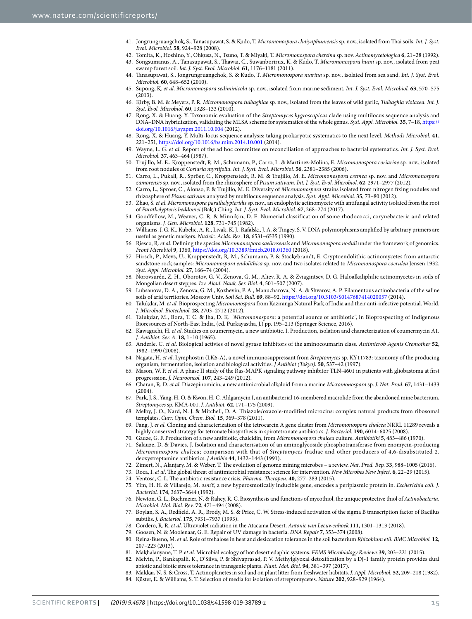- <span id="page-15-1"></span><span id="page-15-0"></span>41. Jongrungruangchok, S., Tanasupawat, S. & Kudo, T. Micromonospora chaiyaphumensis sp. nov., isolated from Thai soils. Int. J. Syst. Evol. Microbiol. **58**, 924–928 (2008).
- <span id="page-15-2"></span> 42. Tomita, K., Hoshino, Y., Ohkusa, N., Tsuno, T. & Miyaki, T. Micromonospora chersina sp. nov. Actinomycetologica **6**, 21–28 (1992). 43. Songsumanus, A., Tanasupawat, S., Thawai, C., Suwanborirux, K. & Kudo, T. Micromonospora humi sp. nov., isolated from peat
- <span id="page-15-3"></span>swamp forest soil. Int. J. Syst. Evol. Microbiol. **61**, 1176–1181 (2011). 44. Tanasupawat, S., Jongrungruangchok, S. & Kudo, T. Micromonospora marina sp. nov., isolated from sea sand. Int. J. Syst. Evol. Microbiol. **60**, 648–652 (2010).
- <span id="page-15-5"></span><span id="page-15-4"></span> 45. Supong, K. et al. Micromonospora sediminicola sp. nov., isolated from marine sediment. Int. J. Syst. Evol. Microbiol. **63**, 570–575  $(2013)$
- <span id="page-15-6"></span>46. Kirby, B. M. & Meyers, P. R. Micromonospora tulbaghiae sp. nov., isolated from the leaves of wild garlic, Tulbaghia violacea. Int. J. Syst. Evol. Microbiol. **60**, 1328–133 (2010).
- <span id="page-15-8"></span><span id="page-15-7"></span>47. Rong, X. & Huang, Y. Taxonomic evaluation of the Streptomyces hygroscopicus clade using multilocus sequence analysis and DNA–DNA hybridization, validating the MLSA scheme for systematics of the whole genus. Syst. Appl. Microbiol. **35**, 7–18, [https://](https://doi.org/10.1016/j.syapm.2011.10.004) [doi.org/10.1016/j.syapm.2011.10.004](https://doi.org/10.1016/j.syapm.2011.10.004) (2012).
- <span id="page-15-10"></span><span id="page-15-9"></span> 48. Rong, X. & Huang, Y. Multi-locus sequence analysis: taking prokaryotic systematics to the next level. Methods Microbiol. **41**, 221–251,<https://doi.org/10.1016/bs.mim.2014.10.001>(2014).
- <span id="page-15-11"></span>49. Wayne, L. G. et al. Report of the ad hoc committee on reconciliation of approaches to bacterial systematics. Int. J. Syst. Evol. Microbiol. **37**, 463–464 (1987).
- <span id="page-15-12"></span>50. Trujillo, M. E., Kroppenstedt, R. M., Schumann, P., Carro, L. & Martinez-Molina, E. Micromonospora coriariae sp. nov., isolated from root nodules of Coriaria myrtifolia. Int. J. Syst. Evol. Microbiol. **56**, 2381–2385 (2006).
- <span id="page-15-13"></span> 51. Carro, L., Pukall, R., Spröer, C., Kroppenstedt, R. M. & Trujillo, M. E. Micromonospora cremea sp. nov. and Micromonospora zamorensis sp. nov., isolated from the rhizosphere of Pisum sativum. Int. J. Syst. Evol. Microbiol. **62**, 2971–2977 (2012).
- <span id="page-15-14"></span>52. Carro, L., Sproer, C., Alonso, P. & Trujillo, M. E. Diversity of Micromonospora strains isolated from nitrogen fixing nodules and rhizosphere of Pisum sativum analyzed by multilocus sequence analysis. Syst. Appl. Microbiol. **35**, 73–80 (2012).
- <span id="page-15-15"></span>53. Zhao, S. et al. Micromonospora parathelypteridis sp. nov., an endophytic actinomycete with antifungal activity isolated from the root of Parathelypteris beddomei (Bak.) Ching. Int. J. Syst. Evol. Microbiol. **67**, 268–274 (2017).
- <span id="page-15-16"></span> 54. Goodfellow, M., Weaver, C. R. & Minnikin, D. E. Numerial classification of some rhodococci, corynebacteria and related organisms. J. Gen. Microbiol. **128**, 731–745 (1982).
- <span id="page-15-17"></span> 55. Williams, J. G. K., Kubelic, A. R., Livak, K. J., Rafalski, J. A. & Tingey, S. V. DNA polymorphisms ampliied by arbitrary primers are useful as genetic markers. Nucleic. Acids. Res. **18**, 6531–6535 (1990).
- <span id="page-15-19"></span><span id="page-15-18"></span>56. Riesco, R. et al. Defining the species Micromonospora saelicesensis and Micromonospora noduli under the framework of genomics. Front Microbiol **9**, 1360,<https://doi.org/10.3389/fmicb.2018.01360>(2018).
- <span id="page-15-20"></span> 57. Hirsch, P., Mevs, U., Kroppenstedt, R. M., Schumann, P. & Stackebrandt, E. Cryptoendolithic actinomycetes from antarctic sandstone rock samples: Micromonospora endolithica sp. nov. and two isolates related to Micromonospora coerulea Jensen 1932. Syst. Appl. Microbiol. **27**, 166–74 (2004).
- <span id="page-15-21"></span> 58. Norovsurén, Z. H., Oborotov, G. V., Zenova, G. M., Aliev, R. A. & Zviagintsev, D. G. Haloalkaliphilic actinomycetes in soils of Mongolian desert steppes. Izv. Akad. Nauk. Ser. Biol. **4**, 501–507 (2007).
- <span id="page-15-22"></span> 59. Lubsanova, D. A., Zenova, G. M., Kozhevin, P. A., Manucharova, N. A. & Shvarov, A. P. Filamentous actinobacteria of the saline soils of arid territories. Moscow Univ. Soil Sci. Bull. **69**, 88–92,<https://doi.org/10.3103/S0147687414020057>(2014).
- <span id="page-15-23"></span>60. Talukdar, M. et al. Bioprospecting Micromonospora from Kaziranga Natural Park of India and their anti-infective potential. World. J. Microbiol. Biotechnol. **28**, 2703–2712 (2012).
- 61. Talukdar, M., Bora, T. C. & Jha, D. K. "Micromonospora: a potential source of antibiotic", in Bioprospecting of Indigenous Bioresources of North-East India, (ed. Purkayastha, J.) pp. 195–213 (Springer Science, 2016).
- 62. Kawaguchi, H. et al. Studies on coumermycin, a new antibiotic. I. Production, isolation and characterization of coumermycin A1. J. Antibiot. Ser. A. **18**, 1–10 (1965).
- 63. Anderle, C. et al. Biological activies of novel gyrase inhibitors of the aminocoumarin class. Antimicrob Agents Cremother **52**, 1982–1990 (2008).
- 64. Nagata, H. et al. Lymphostin (LK6-A), a novel immunosuppressant from Streptomyces sp. KY11783: taxonomy of the producing organism, fermentation, isolation and biological activities. J Antibiot (Tokyo). **50**, 537–42 (1997).
- 65. Mason, W. P. et al. A phase II study of the Ras-MAPK signaling pathway inhibitor TLN-4601 in patients with gliobastoma at first progresssion. J. Neurooncol. **107**, 243–249 (2012).
- 66. Charan, R. D. et al. Diazepinomicin, a new antimicrobial alkaloid from a marine Micromonospora sp. J. Nat. Prod. **67**, 1431–1433  $(2004)$
- 67. Park, J. S., Yang, H. O. & Kwon, H. C. Aldgamycin I, an antibacterial 16-membered macrolide from the abandoned mine bacterium, Streptomyces sp. KMA-001. J. Antibiot. **62**, 171–175 (2009).
- 68. Melby, J. O., Nard, N. J. & Mitchell, D. A. Thiazole/oxazole-modified microcins: complex natural products from ribosomal templates. Curr. Opin. Chem. Biol. **15**, 369–378 (2011).
- 69. Fang, J. et al. Cloning and characterization of the tetrocarcin A gene cluster from Micromonospora chalcea NRRL 11289 reveals a highly conserved strategy for tetronate biosynthesis in spirotetronate antibiotics. J. Bacteriol. **190**, 6014–6025 (2008).
- 70. Gauze, G. F. Production of a new antibiotic, chalcidin, from Micromonospora chalcea culture. Antibiotiki **5**, 483–486 (1970).
- 71. Salauze, D. & Davies, J. Isolation and characterisation of an aminoglycoside phosphotransferase from enomycin-producing Micromonospora chalcea; comparison with that of Streptomyces fradiae and other producers of 4,6-disubstituted 2. deoxystreptamine antibiotics. J Antibio **44**, 1432–1443 (1991).
- 72. Zimert, N., Alanjary, M. & Weber, T. he evolution of genome mining microbes a review. Nat. Prod. Rep. **33**, 988–1005 (2016).
- 73. Roca, I. et al. he global threat of antimicrobial resistance: science for intervention. New Microbes New Infect. **6**, 22–29 (2015).
- 74. Ventosa, C. L. The antibiotic resistance crisis. Pharma. Therapeu. 40, 277-283 (2015).
- 75. Yim, H. H. & Villarejo, M. osmY, a new hyperosmotically inducible gene, encodes a periplasmic protein in. Escherichia coli. J. Bacteriol. **174**, 3637–3644 (1992).
- 76. Newton, G. L., Buchmeier, N. & Rahey, R. C. Biosynthesis and functions of mycothiol, the unique protective thiol of Actinobacteria. Microbiol. Mol. Biol. Rev. **72**, 471–494 (2008).
- 77. Boylan, S. A., Redield, A. R., Brody, M. S. & Price, C. W. Stress-induced activation of the sigma B transcription factor of Bacillus subtilis. J. Bacteriol. **175**, 7931–7937 (1993).
- 78. Cordero, R. R. et al. Ultraviolet radiation in the Atacama Desert. Antonie van Leeuwenhoek **111**, 1301–1313 (2018).
- 79. Goosen, N. & Moolenaar, G. E. Repair of UV damage in bacteria. DNA Repair **7**, 353–374 (2008).
- 80. Reina-Bueno, M. et al. Role of trehalose in heat and desiccation tolerance in the soil bacterium Rhizobium etli. BMC Microbiol. **12**, 207–223 (2013).
- 81. Makhalanyane, T. P. et al. Microbial ecology of hot desert edaphic systems. FEMS Microbiology Reviews **39**, 203–221 (2015).
- 82. Melvin, P., Bankapalli, K., D'Silva, P. & Shivaprasad, P. V. Methylglyoxal detoxiication by a DJ-1 family protein provides dual abiotic and biotic stress tolerance in transgenic plants. Plant. Mol. Biol. **94**, 381–397 (2017).
- 83. Makkar, N. S. & Cross, T. Actinoplanetes in soil and on plant litter from freshwater habitats. J. Appl. Microbiol. **52**, 209–218 (1982).
- 84. Küster, E. & Williams, S. T. Selection of media for isolation of streptomycetes. Nature **202**, 928–929 (1964).